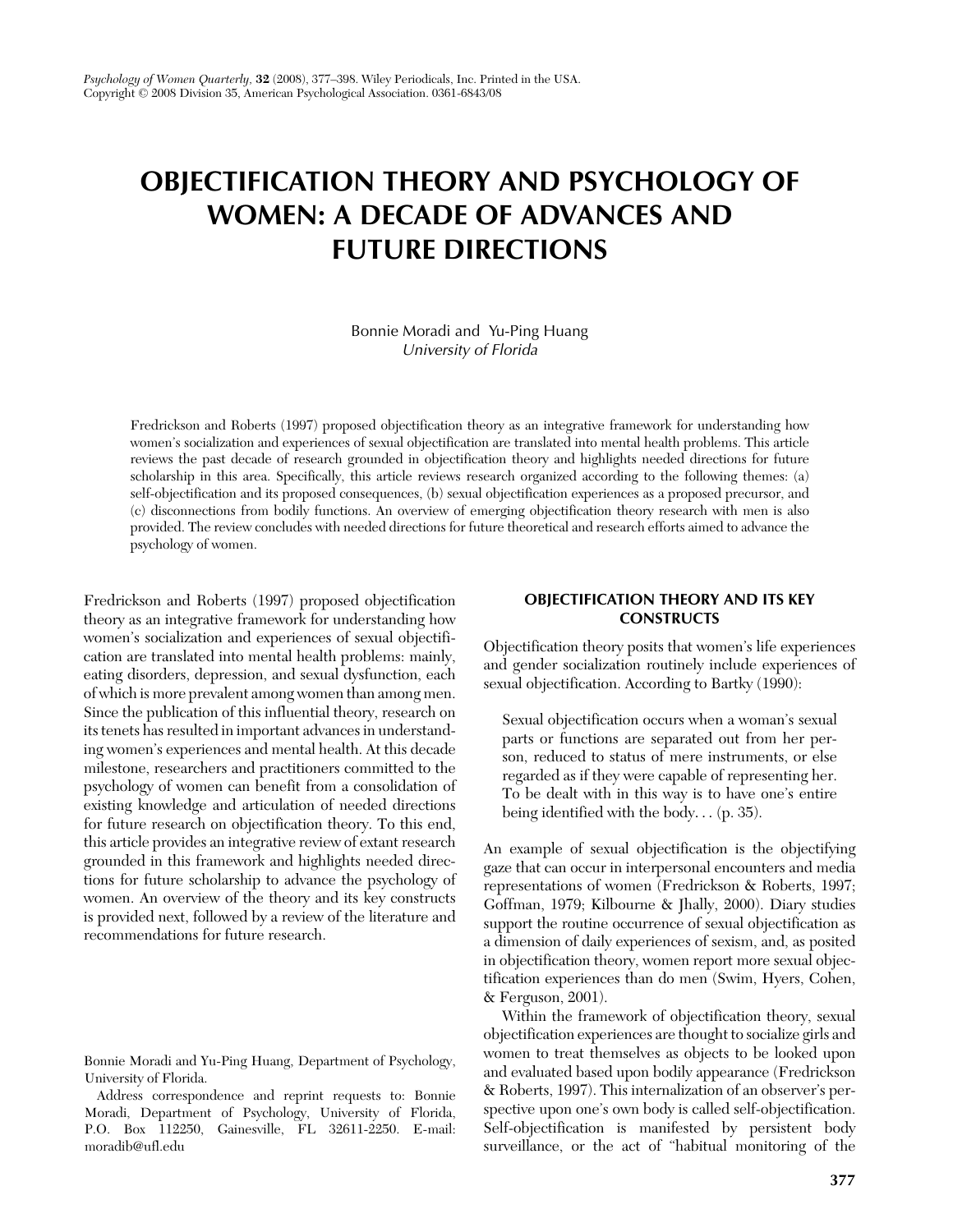# **OBJECTIFICATION THEORY AND PSYCHOLOGY OF WOMEN: A DECADE OF ADVANCES AND FUTURE DIRECTIONS**

Bonnie Moradi and Yu-Ping Huang University of Florida

Fredrickson and Roberts (1997) proposed objectification theory as an integrative framework for understanding how women's socialization and experiences of sexual objectification are translated into mental health problems. This article reviews the past decade of research grounded in objectification theory and highlights needed directions for future scholarship in this area. Specifically, this article reviews research organized according to the following themes: (a) self-objectification and its proposed consequences, (b) sexual objectification experiences as a proposed precursor, and (c) disconnections from bodily functions. An overview of emerging objectification theory research with men is also provided. The review concludes with needed directions for future theoretical and research efforts aimed to advance the psychology of women.

Fredrickson and Roberts (1997) proposed objectification theory as an integrative framework for understanding how women's socialization and experiences of sexual objectification are translated into mental health problems: mainly, eating disorders, depression, and sexual dysfunction, each of which is more prevalent among women than among men. Since the publication of this influential theory, research on its tenets has resulted in important advances in understanding women's experiences and mental health. At this decade milestone, researchers and practitioners committed to the psychology of women can benefit from a consolidation of existing knowledge and articulation of needed directions for future research on objectification theory. To this end, this article provides an integrative review of extant research grounded in this framework and highlights needed directions for future scholarship to advance the psychology of women. An overview of the theory and its key constructs is provided next, followed by a review of the literature and recommendations for future research.

# **OBJECTIFICATION THEORY AND ITS KEY CONSTRUCTS**

Objectification theory posits that women's life experiences and gender socialization routinely include experiences of sexual objectification. According to Bartky (1990):

Sexual objectification occurs when a woman's sexual parts or functions are separated out from her person, reduced to status of mere instruments, or else regarded as if they were capable of representing her. To be dealt with in this way is to have one's entire being identified with the body... (p. 35).

An example of sexual objectification is the objectifying gaze that can occur in interpersonal encounters and media representations of women (Fredrickson & Roberts, 1997; Goffman, 1979; Kilbourne & Jhally, 2000). Diary studies support the routine occurrence of sexual objectification as a dimension of daily experiences of sexism, and, as posited in objectification theory, women report more sexual objectification experiences than do men (Swim, Hyers, Cohen, & Ferguson, 2001).

Within the framework of objectification theory, sexual objectification experiences are thought to socialize girls and women to treat themselves as objects to be looked upon and evaluated based upon bodily appearance (Fredrickson & Roberts, 1997). This internalization of an observer's perspective upon one's own body is called self-objectification. Self-objectification is manifested by persistent body surveillance, or the act of "habitual monitoring of the

Bonnie Moradi and Yu-Ping Huang, Department of Psychology, University of Florida.

Address correspondence and reprint requests to: Bonnie Moradi, Department of Psychology, University of Florida, P.O. Box 112250, Gainesville, FL 32611-2250. E-mail: moradib@ufl.edu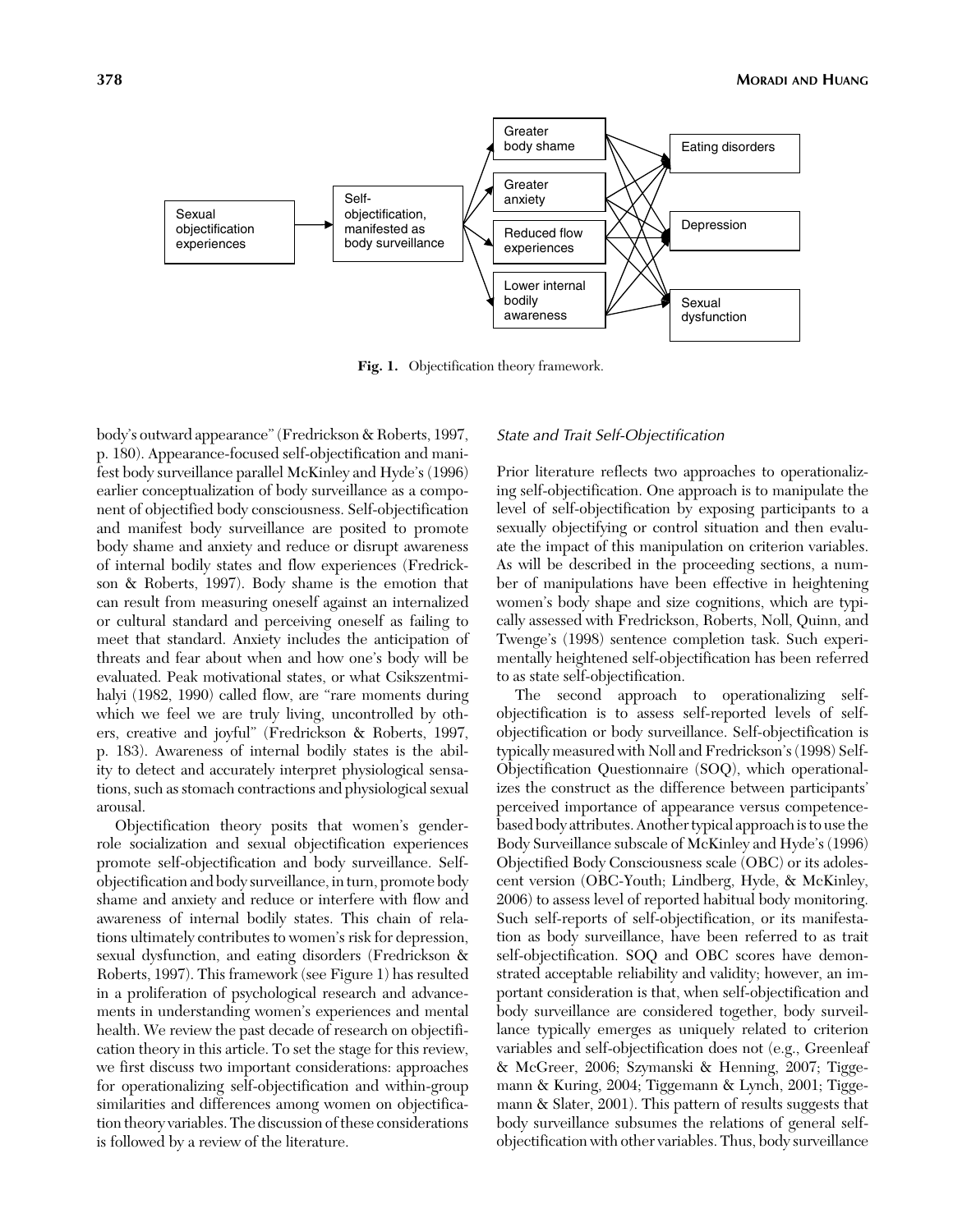

Fig. 1. Objectification theory framework.

body's outward appearance" (Fredrickson & Roberts, 1997, p. 180). Appearance-focused self-objectification and manifest body surveillance parallel McKinley and Hyde's (1996) earlier conceptualization of body surveillance as a component of objectified body consciousness. Self-objectification and manifest body surveillance are posited to promote body shame and anxiety and reduce or disrupt awareness of internal bodily states and flow experiences (Fredrickson & Roberts, 1997). Body shame is the emotion that can result from measuring oneself against an internalized or cultural standard and perceiving oneself as failing to meet that standard. Anxiety includes the anticipation of threats and fear about when and how one's body will be evaluated. Peak motivational states, or what Csikszentmihalyi (1982, 1990) called flow, are "rare moments during which we feel we are truly living, uncontrolled by others, creative and joyful" (Fredrickson & Roberts, 1997, p. 183). Awareness of internal bodily states is the ability to detect and accurately interpret physiological sensations, such as stomach contractions and physiological sexual arousal.

Objectification theory posits that women's genderrole socialization and sexual objectification experiences promote self-objectification and body surveillance. Selfobjectification and body surveillance, in turn, promote body shame and anxiety and reduce or interfere with flow and awareness of internal bodily states. This chain of relations ultimately contributes to women's risk for depression, sexual dysfunction, and eating disorders (Fredrickson & Roberts, 1997). This framework (see Figure 1) has resulted in a proliferation of psychological research and advancements in understanding women's experiences and mental health. We review the past decade of research on objectification theory in this article. To set the stage for this review, we first discuss two important considerations: approaches for operationalizing self-objectification and within-group similarities and differences among women on objectification theory variables. The discussion of these considerations is followed by a review of the literature.

## State and Trait Self-Objectification

Prior literature reflects two approaches to operationalizing self-objectification. One approach is to manipulate the level of self-objectification by exposing participants to a sexually objectifying or control situation and then evaluate the impact of this manipulation on criterion variables. As will be described in the proceeding sections, a number of manipulations have been effective in heightening women's body shape and size cognitions, which are typically assessed with Fredrickson, Roberts, Noll, Quinn, and Twenge's (1998) sentence completion task. Such experimentally heightened self-objectification has been referred to as state self-objectification.

The second approach to operationalizing selfobjectification is to assess self-reported levels of selfobjectification or body surveillance. Self-objectification is typically measured with Noll and Fredrickson's (1998) Self-Objectification Questionnaire (SOQ), which operationalizes the construct as the difference between participants' perceived importance of appearance versus competencebased body attributes. Another typical approach is to use the Body Surveillance subscale of McKinley and Hyde's (1996) Objectified Body Consciousness scale (OBC) or its adolescent version (OBC-Youth; Lindberg, Hyde, & McKinley, 2006) to assess level of reported habitual body monitoring. Such self-reports of self-objectification, or its manifestation as body surveillance, have been referred to as trait self-objectification. SOQ and OBC scores have demonstrated acceptable reliability and validity; however, an important consideration is that, when self-objectification and body surveillance are considered together, body surveillance typically emerges as uniquely related to criterion variables and self-objectification does not (e.g., Greenleaf & McGreer, 2006; Szymanski & Henning, 2007; Tiggemann & Kuring, 2004; Tiggemann & Lynch, 2001; Tiggemann & Slater, 2001). This pattern of results suggests that body surveillance subsumes the relations of general selfobjectification with other variables. Thus, body surveillance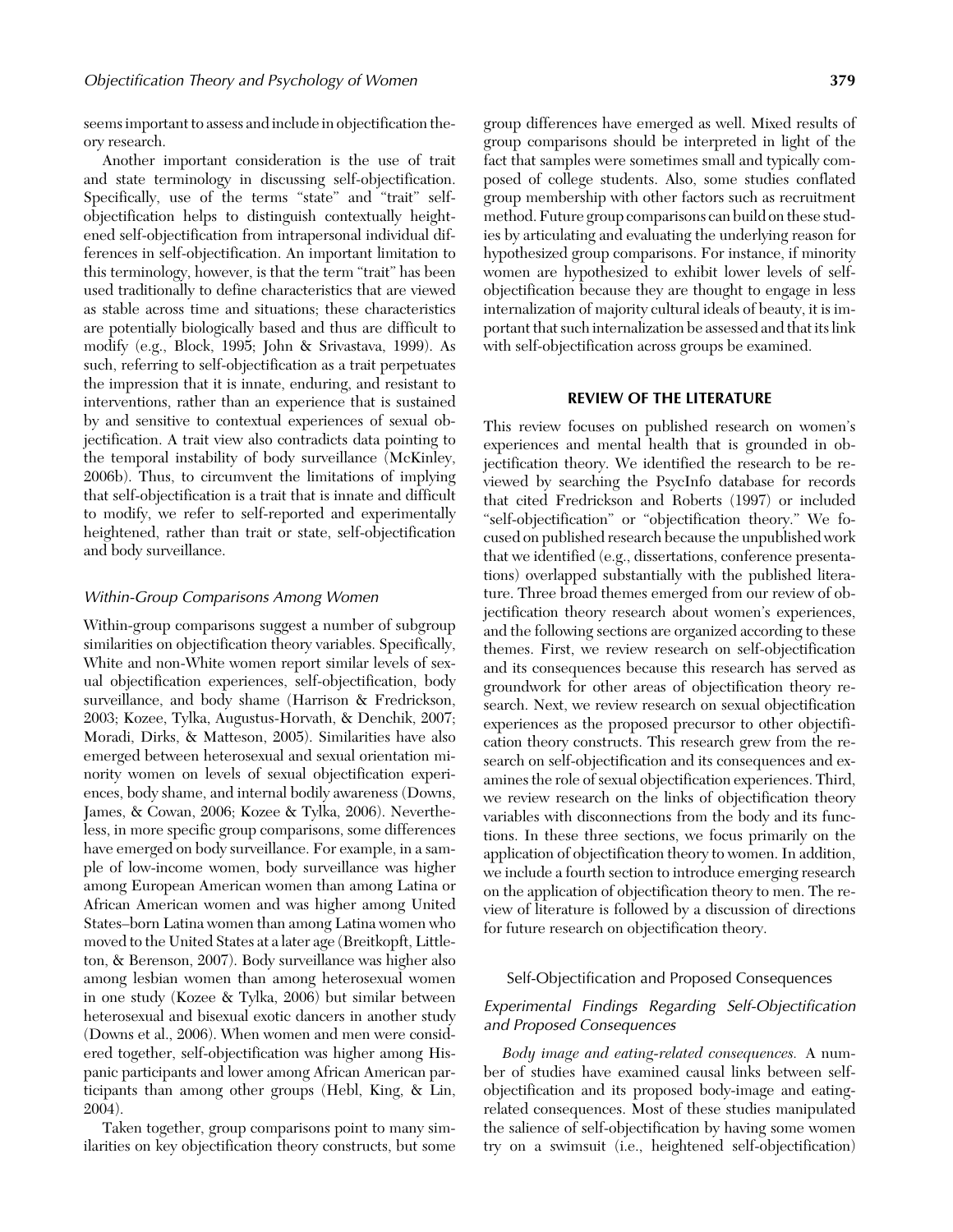seems important to assess and include in objectification theory research.

Another important consideration is the use of trait and state terminology in discussing self-objectification. Specifically, use of the terms "state" and "trait" selfobjectification helps to distinguish contextually heightened self-objectification from intrapersonal individual differences in self-objectification. An important limitation to this terminology, however, is that the term "trait" has been used traditionally to define characteristics that are viewed as stable across time and situations; these characteristics are potentially biologically based and thus are difficult to modify (e.g., Block, 1995; John & Srivastava, 1999). As such, referring to self-objectification as a trait perpetuates the impression that it is innate, enduring, and resistant to interventions, rather than an experience that is sustained by and sensitive to contextual experiences of sexual objectification. A trait view also contradicts data pointing to the temporal instability of body surveillance (McKinley, 2006b). Thus, to circumvent the limitations of implying that self-objectification is a trait that is innate and difficult to modify, we refer to self-reported and experimentally heightened, rather than trait or state, self-objectification and body surveillance.

## Within-Group Comparisons Among Women

Within-group comparisons suggest a number of subgroup similarities on objectification theory variables. Specifically, White and non-White women report similar levels of sexual objectification experiences, self-objectification, body surveillance, and body shame (Harrison & Fredrickson, 2003; Kozee, Tylka, Augustus-Horvath, & Denchik, 2007; Moradi, Dirks, & Matteson, 2005). Similarities have also emerged between heterosexual and sexual orientation minority women on levels of sexual objectification experiences, body shame, and internal bodily awareness (Downs, James, & Cowan, 2006; Kozee & Tylka, 2006). Nevertheless, in more specific group comparisons, some differences have emerged on body surveillance. For example, in a sample of low-income women, body surveillance was higher among European American women than among Latina or African American women and was higher among United States–born Latina women than among Latina women who moved to the United States at a later age (Breitkopft, Littleton, & Berenson, 2007). Body surveillance was higher also among lesbian women than among heterosexual women in one study (Kozee & Tylka, 2006) but similar between heterosexual and bisexual exotic dancers in another study (Downs et al., 2006). When women and men were considered together, self-objectification was higher among Hispanic participants and lower among African American participants than among other groups (Hebl, King, & Lin, 2004).

Taken together, group comparisons point to many similarities on key objectification theory constructs, but some group differences have emerged as well. Mixed results of group comparisons should be interpreted in light of the fact that samples were sometimes small and typically composed of college students. Also, some studies conflated group membership with other factors such as recruitment method. Future group comparisons can build on these studies by articulating and evaluating the underlying reason for hypothesized group comparisons. For instance, if minority women are hypothesized to exhibit lower levels of selfobjectification because they are thought to engage in less internalization of majority cultural ideals of beauty, it is important that such internalization be assessed and that its link with self-objectification across groups be examined.

#### **REVIEW OF THE LITERATURE**

This review focuses on published research on women's experiences and mental health that is grounded in objectification theory. We identified the research to be reviewed by searching the PsycInfo database for records that cited Fredrickson and Roberts (1997) or included "self-objectification" or "objectification theory." We focused on published research because the unpublished work that we identified (e.g., dissertations, conference presentations) overlapped substantially with the published literature. Three broad themes emerged from our review of objectification theory research about women's experiences, and the following sections are organized according to these themes. First, we review research on self-objectification and its consequences because this research has served as groundwork for other areas of objectification theory research. Next, we review research on sexual objectification experiences as the proposed precursor to other objectification theory constructs. This research grew from the research on self-objectification and its consequences and examines the role of sexual objectification experiences. Third, we review research on the links of objectification theory variables with disconnections from the body and its functions. In these three sections, we focus primarily on the application of objectification theory to women. In addition, we include a fourth section to introduce emerging research on the application of objectification theory to men. The review of literature is followed by a discussion of directions for future research on objectification theory.

## Self-Objectification and Proposed Consequences

## Experimental Findings Regarding Self-Objectification and Proposed Consequences

*Body image and eating-related consequences.* A number of studies have examined causal links between selfobjectification and its proposed body-image and eatingrelated consequences. Most of these studies manipulated the salience of self-objectification by having some women try on a swimsuit (i.e., heightened self-objectification)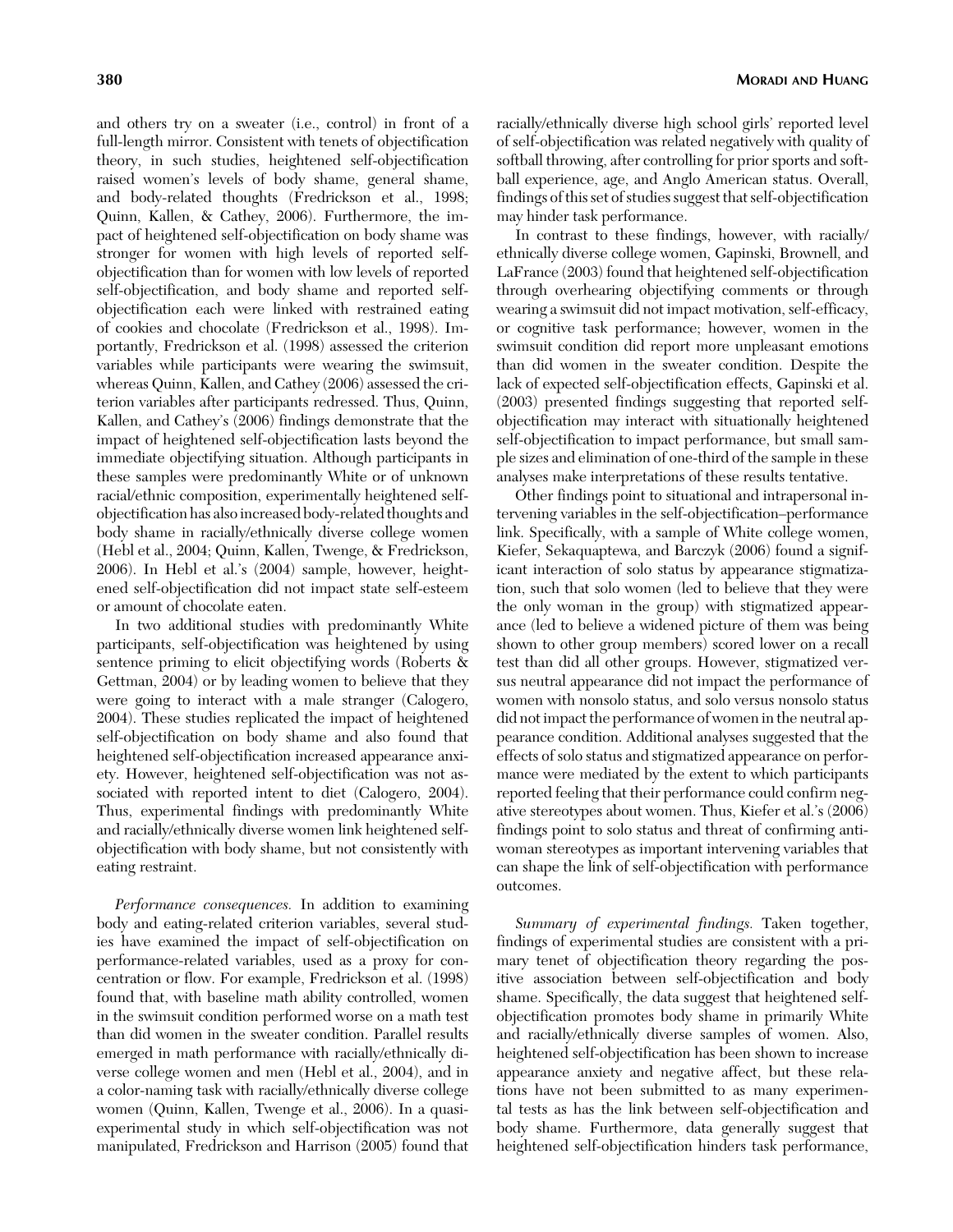and others try on a sweater (i.e., control) in front of a full-length mirror. Consistent with tenets of objectification theory, in such studies, heightened self-objectification raised women's levels of body shame, general shame, and body-related thoughts (Fredrickson et al., 1998; Quinn, Kallen, & Cathey, 2006). Furthermore, the impact of heightened self-objectification on body shame was stronger for women with high levels of reported selfobjectification than for women with low levels of reported self-objectification, and body shame and reported selfobjectification each were linked with restrained eating of cookies and chocolate (Fredrickson et al., 1998). Importantly, Fredrickson et al. (1998) assessed the criterion variables while participants were wearing the swimsuit, whereas Quinn, Kallen, and Cathey (2006) assessed the criterion variables after participants redressed. Thus, Quinn, Kallen, and Cathey's (2006) findings demonstrate that the impact of heightened self-objectification lasts beyond the immediate objectifying situation. Although participants in these samples were predominantly White or of unknown racial/ethnic composition, experimentally heightened selfobjectification has also increased body-related thoughts and body shame in racially/ethnically diverse college women (Hebl et al., 2004; Quinn, Kallen, Twenge, & Fredrickson, 2006). In Hebl et al.'s (2004) sample, however, heightened self-objectification did not impact state self-esteem or amount of chocolate eaten.

In two additional studies with predominantly White participants, self-objectification was heightened by using sentence priming to elicit objectifying words (Roberts & Gettman, 2004) or by leading women to believe that they were going to interact with a male stranger (Calogero, 2004). These studies replicated the impact of heightened self-objectification on body shame and also found that heightened self-objectification increased appearance anxiety. However, heightened self-objectification was not associated with reported intent to diet (Calogero, 2004). Thus, experimental findings with predominantly White and racially/ethnically diverse women link heightened selfobjectification with body shame, but not consistently with eating restraint.

*Performance consequences.* In addition to examining body and eating-related criterion variables, several studies have examined the impact of self-objectification on performance-related variables, used as a proxy for concentration or flow. For example, Fredrickson et al. (1998) found that, with baseline math ability controlled, women in the swimsuit condition performed worse on a math test than did women in the sweater condition. Parallel results emerged in math performance with racially/ethnically diverse college women and men (Hebl et al., 2004), and in a color-naming task with racially/ethnically diverse college women (Quinn, Kallen, Twenge et al., 2006). In a quasiexperimental study in which self-objectification was not manipulated, Fredrickson and Harrison (2005) found that racially/ethnically diverse high school girls' reported level of self-objectification was related negatively with quality of softball throwing, after controlling for prior sports and softball experience, age, and Anglo American status. Overall, findings of this set of studies suggest that self-objectification may hinder task performance.

In contrast to these findings, however, with racially/ ethnically diverse college women, Gapinski, Brownell, and LaFrance (2003) found that heightened self-objectification through overhearing objectifying comments or through wearing a swimsuit did not impact motivation, self-efficacy, or cognitive task performance; however, women in the swimsuit condition did report more unpleasant emotions than did women in the sweater condition. Despite the lack of expected self-objectification effects, Gapinski et al. (2003) presented findings suggesting that reported selfobjectification may interact with situationally heightened self-objectification to impact performance, but small sample sizes and elimination of one-third of the sample in these analyses make interpretations of these results tentative.

Other findings point to situational and intrapersonal intervening variables in the self-objectification–performance link. Specifically, with a sample of White college women, Kiefer, Sekaquaptewa, and Barczyk (2006) found a significant interaction of solo status by appearance stigmatization, such that solo women (led to believe that they were the only woman in the group) with stigmatized appearance (led to believe a widened picture of them was being shown to other group members) scored lower on a recall test than did all other groups. However, stigmatized versus neutral appearance did not impact the performance of women with nonsolo status, and solo versus nonsolo status did not impact the performance of women in the neutral appearance condition. Additional analyses suggested that the effects of solo status and stigmatized appearance on performance were mediated by the extent to which participants reported feeling that their performance could confirm negative stereotypes about women. Thus, Kiefer et al.'s (2006) findings point to solo status and threat of confirming antiwoman stereotypes as important intervening variables that can shape the link of self-objectification with performance outcomes.

*Summary of experimental findings.* Taken together, findings of experimental studies are consistent with a primary tenet of objectification theory regarding the positive association between self-objectification and body shame. Specifically, the data suggest that heightened selfobjectification promotes body shame in primarily White and racially/ethnically diverse samples of women. Also, heightened self-objectification has been shown to increase appearance anxiety and negative affect, but these relations have not been submitted to as many experimental tests as has the link between self-objectification and body shame. Furthermore, data generally suggest that heightened self-objectification hinders task performance,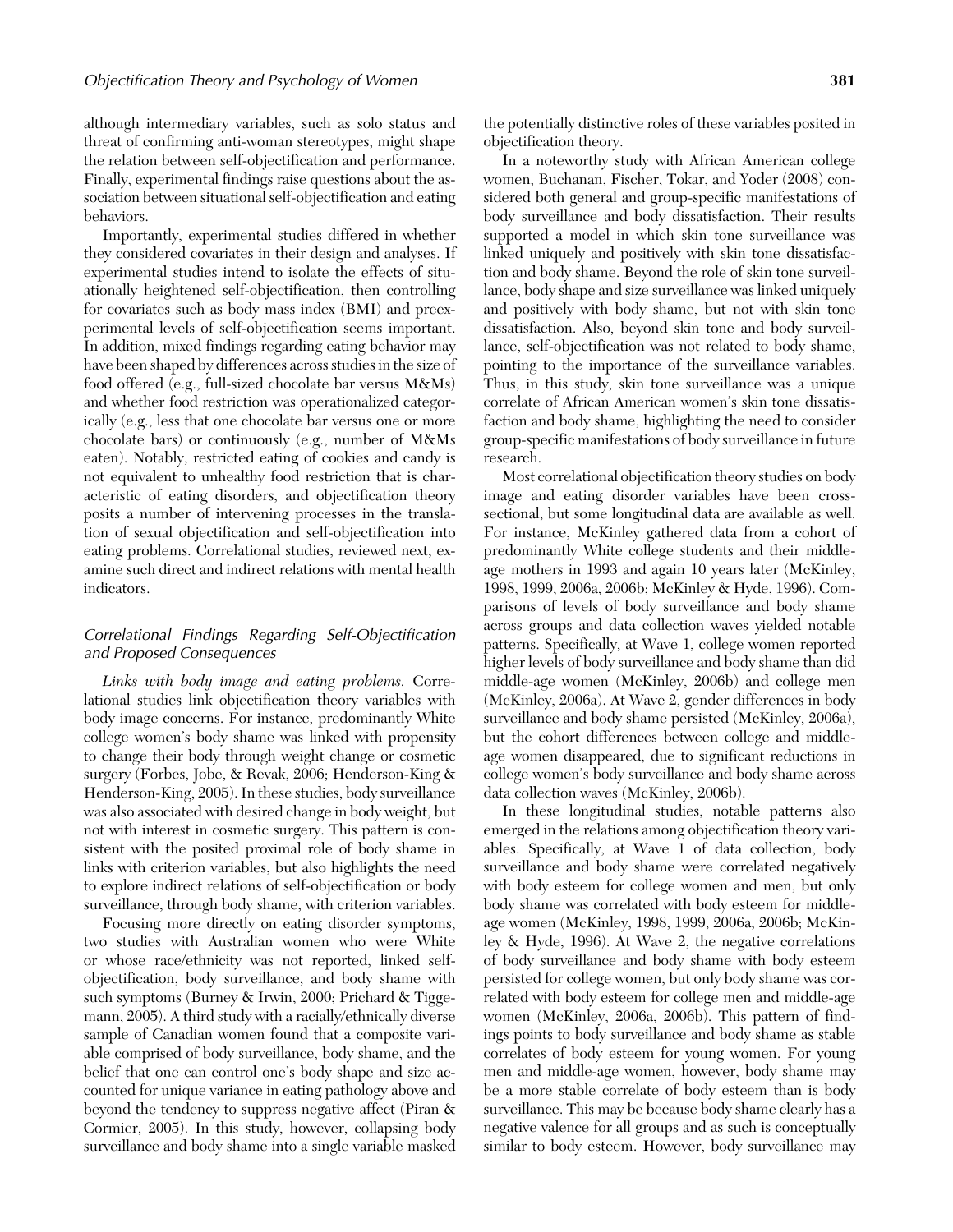although intermediary variables, such as solo status and threat of confirming anti-woman stereotypes, might shape the relation between self-objectification and performance. Finally, experimental findings raise questions about the association between situational self-objectification and eating behaviors.

Importantly, experimental studies differed in whether they considered covariates in their design and analyses. If experimental studies intend to isolate the effects of situationally heightened self-objectification, then controlling for covariates such as body mass index (BMI) and preexperimental levels of self-objectification seems important. In addition, mixed findings regarding eating behavior may have been shaped by differences across studies in the size of food offered (e.g., full-sized chocolate bar versus M&Ms) and whether food restriction was operationalized categorically (e.g., less that one chocolate bar versus one or more chocolate bars) or continuously (e.g., number of M&Ms eaten). Notably, restricted eating of cookies and candy is not equivalent to unhealthy food restriction that is characteristic of eating disorders, and objectification theory posits a number of intervening processes in the translation of sexual objectification and self-objectification into eating problems. Correlational studies, reviewed next, examine such direct and indirect relations with mental health indicators.

# Correlational Findings Regarding Self-Objectification and Proposed Consequences

*Links with body image and eating problems.* Correlational studies link objectification theory variables with body image concerns. For instance, predominantly White college women's body shame was linked with propensity to change their body through weight change or cosmetic surgery (Forbes, Jobe, & Revak, 2006; Henderson-King & Henderson-King, 2005). In these studies, body surveillance was also associated with desired change in body weight, but not with interest in cosmetic surgery. This pattern is consistent with the posited proximal role of body shame in links with criterion variables, but also highlights the need to explore indirect relations of self-objectification or body surveillance, through body shame, with criterion variables.

Focusing more directly on eating disorder symptoms, two studies with Australian women who were White or whose race/ethnicity was not reported, linked selfobjectification, body surveillance, and body shame with such symptoms (Burney & Irwin, 2000; Prichard & Tiggemann, 2005). A third study with a racially/ethnically diverse sample of Canadian women found that a composite variable comprised of body surveillance, body shame, and the belief that one can control one's body shape and size accounted for unique variance in eating pathology above and beyond the tendency to suppress negative affect (Piran & Cormier, 2005). In this study, however, collapsing body surveillance and body shame into a single variable masked the potentially distinctive roles of these variables posited in objectification theory.

In a noteworthy study with African American college women, Buchanan, Fischer, Tokar, and Yoder (2008) considered both general and group-specific manifestations of body surveillance and body dissatisfaction. Their results supported a model in which skin tone surveillance was linked uniquely and positively with skin tone dissatisfaction and body shame. Beyond the role of skin tone surveillance, body shape and size surveillance was linked uniquely and positively with body shame, but not with skin tone dissatisfaction. Also, beyond skin tone and body surveillance, self-objectification was not related to body shame, pointing to the importance of the surveillance variables. Thus, in this study, skin tone surveillance was a unique correlate of African American women's skin tone dissatisfaction and body shame, highlighting the need to consider group-specific manifestations of body surveillance in future research.

Most correlational objectification theory studies on body image and eating disorder variables have been crosssectional, but some longitudinal data are available as well. For instance, McKinley gathered data from a cohort of predominantly White college students and their middleage mothers in 1993 and again 10 years later (McKinley, 1998, 1999, 2006a, 2006b; McKinley & Hyde, 1996). Comparisons of levels of body surveillance and body shame across groups and data collection waves yielded notable patterns. Specifically, at Wave 1, college women reported higher levels of body surveillance and body shame than did middle-age women (McKinley, 2006b) and college men (McKinley, 2006a). At Wave 2, gender differences in body surveillance and body shame persisted (McKinley, 2006a), but the cohort differences between college and middleage women disappeared, due to significant reductions in college women's body surveillance and body shame across data collection waves (McKinley, 2006b).

In these longitudinal studies, notable patterns also emerged in the relations among objectification theory variables. Specifically, at Wave 1 of data collection, body surveillance and body shame were correlated negatively with body esteem for college women and men, but only body shame was correlated with body esteem for middleage women (McKinley, 1998, 1999, 2006a, 2006b; McKinley & Hyde, 1996). At Wave 2, the negative correlations of body surveillance and body shame with body esteem persisted for college women, but only body shame was correlated with body esteem for college men and middle-age women (McKinley, 2006a, 2006b). This pattern of findings points to body surveillance and body shame as stable correlates of body esteem for young women. For young men and middle-age women, however, body shame may be a more stable correlate of body esteem than is body surveillance. This may be because body shame clearly has a negative valence for all groups and as such is conceptually similar to body esteem. However, body surveillance may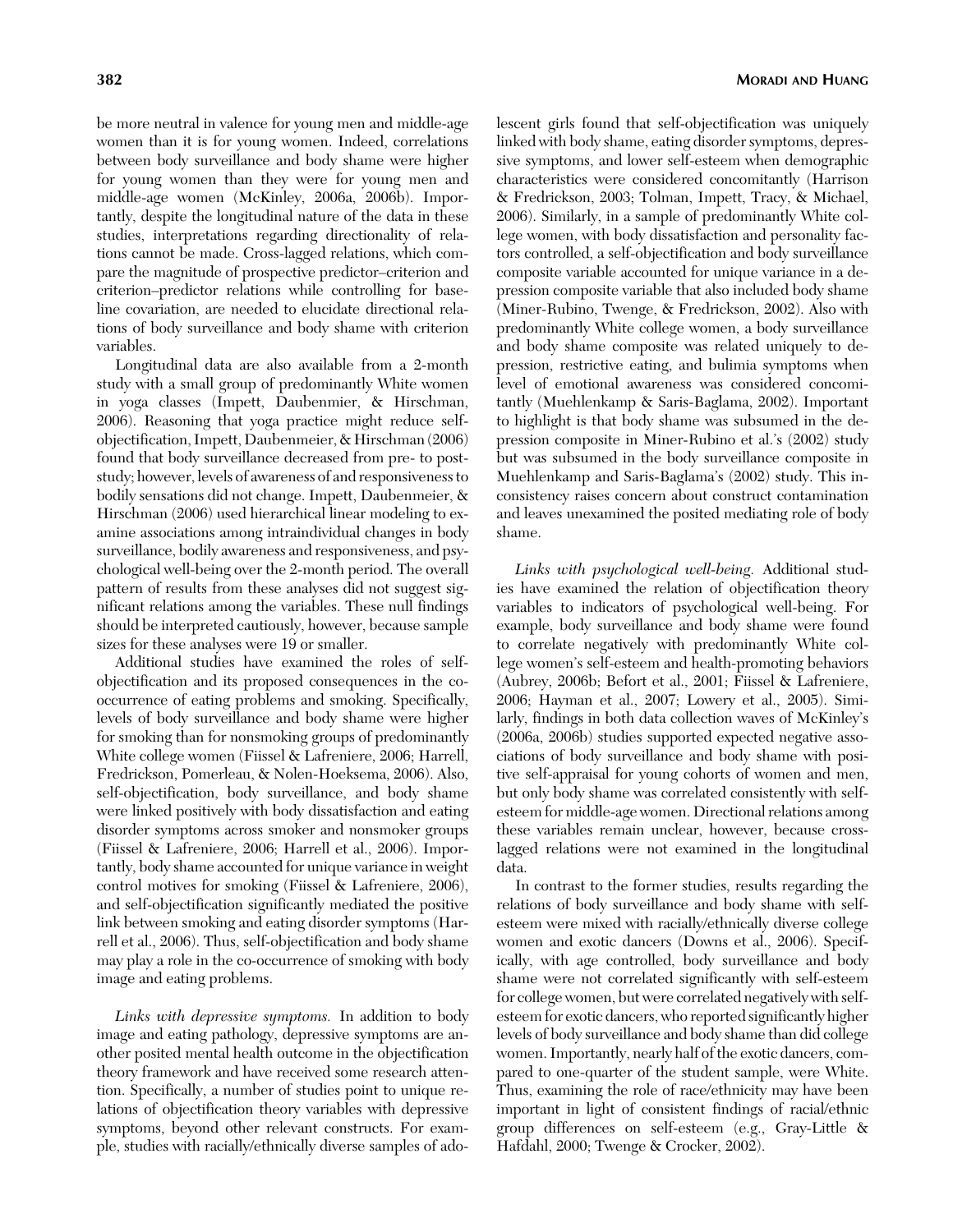be more neutral in valence for young men and middle-age women than it is for young women. Indeed, correlations between body surveillance and body shame were higher for young women than they were for young men and middle-age women (McKinley, 2006a, 2006b). Importantly, despite the longitudinal nature of the data in these studies, interpretations regarding directionality of relations cannot be made. Cross-lagged relations, which compare the magnitude of prospective predictor–criterion and criterion–predictor relations while controlling for baseline covariation, are needed to elucidate directional relations of body surveillance and body shame with criterion variables.

Longitudinal data are also available from a 2-month study with a small group of predominantly White women in yoga classes (Impett, Daubenmier, & Hirschman, 2006). Reasoning that yoga practice might reduce selfobjectification, Impett, Daubenmeier, & Hirschman (2006) found that body surveillance decreased from pre- to poststudy; however, levels of awareness of and responsiveness to bodily sensations did not change. Impett, Daubenmeier, & Hirschman (2006) used hierarchical linear modeling to examine associations among intraindividual changes in body surveillance, bodily awareness and responsiveness, and psychological well-being over the 2-month period. The overall pattern of results from these analyses did not suggest significant relations among the variables. These null findings should be interpreted cautiously, however, because sample sizes for these analyses were 19 or smaller.

Additional studies have examined the roles of selfobjectification and its proposed consequences in the cooccurrence of eating problems and smoking. Specifically, levels of body surveillance and body shame were higher for smoking than for nonsmoking groups of predominantly White college women (Fiissel & Lafreniere, 2006; Harrell, Fredrickson, Pomerleau, & Nolen-Hoeksema, 2006). Also, self-objectification, body surveillance, and body shame were linked positively with body dissatisfaction and eating disorder symptoms across smoker and nonsmoker groups (Fiissel & Lafreniere, 2006; Harrell et al., 2006). Importantly, body shame accounted for unique variance in weight control motives for smoking (Fiissel & Lafreniere, 2006), and self-objectification significantly mediated the positive link between smoking and eating disorder symptoms (Harrell et al., 2006). Thus, self-objectification and body shame may play a role in the co-occurrence of smoking with body image and eating problems.

*Links with depressive symptoms.* In addition to body image and eating pathology, depressive symptoms are another posited mental health outcome in the objectification theory framework and have received some research attention. Specifically, a number of studies point to unique relations of objectification theory variables with depressive symptoms, beyond other relevant constructs. For example, studies with racially/ethnically diverse samples of ado-

**382 MORADI AND HUANG**

lescent girls found that self-objectification was uniquely linked with body shame, eating disorder symptoms, depressive symptoms, and lower self-esteem when demographic characteristics were considered concomitantly (Harrison & Fredrickson, 2003; Tolman, Impett, Tracy, & Michael, 2006). Similarly, in a sample of predominantly White college women, with body dissatisfaction and personality factors controlled, a self-objectification and body surveillance composite variable accounted for unique variance in a depression composite variable that also included body shame (Miner-Rubino, Twenge, & Fredrickson, 2002). Also with predominantly White college women, a body surveillance and body shame composite was related uniquely to depression, restrictive eating, and bulimia symptoms when level of emotional awareness was considered concomitantly (Muehlenkamp & Saris-Baglama, 2002). Important to highlight is that body shame was subsumed in the depression composite in Miner-Rubino et al.'s (2002) study but was subsumed in the body surveillance composite in Muehlenkamp and Saris-Baglama's (2002) study. This inconsistency raises concern about construct contamination and leaves unexamined the posited mediating role of body shame.

*Links with psychological well-being.* Additional studies have examined the relation of objectification theory variables to indicators of psychological well-being. For example, body surveillance and body shame were found to correlate negatively with predominantly White college women's self-esteem and health-promoting behaviors (Aubrey, 2006b; Befort et al., 2001; Fiissel & Lafreniere, 2006; Hayman et al., 2007; Lowery et al., 2005). Similarly, findings in both data collection waves of McKinley's (2006a, 2006b) studies supported expected negative associations of body surveillance and body shame with positive self-appraisal for young cohorts of women and men, but only body shame was correlated consistently with selfesteem for middle-age women. Directional relations among these variables remain unclear, however, because crosslagged relations were not examined in the longitudinal data.

In contrast to the former studies, results regarding the relations of body surveillance and body shame with selfesteem were mixed with racially/ethnically diverse college women and exotic dancers (Downs et al., 2006). Specifically, with age controlled, body surveillance and body shame were not correlated significantly with self-esteem for college women, but were correlated negatively with selfesteem for exotic dancers, who reported significantly higher levels of body surveillance and body shame than did college women. Importantly, nearly half of the exotic dancers, compared to one-quarter of the student sample, were White. Thus, examining the role of race/ethnicity may have been important in light of consistent findings of racial/ethnic group differences on self-esteem (e.g., Gray-Little & Hafdahl, 2000; Twenge & Crocker, 2002).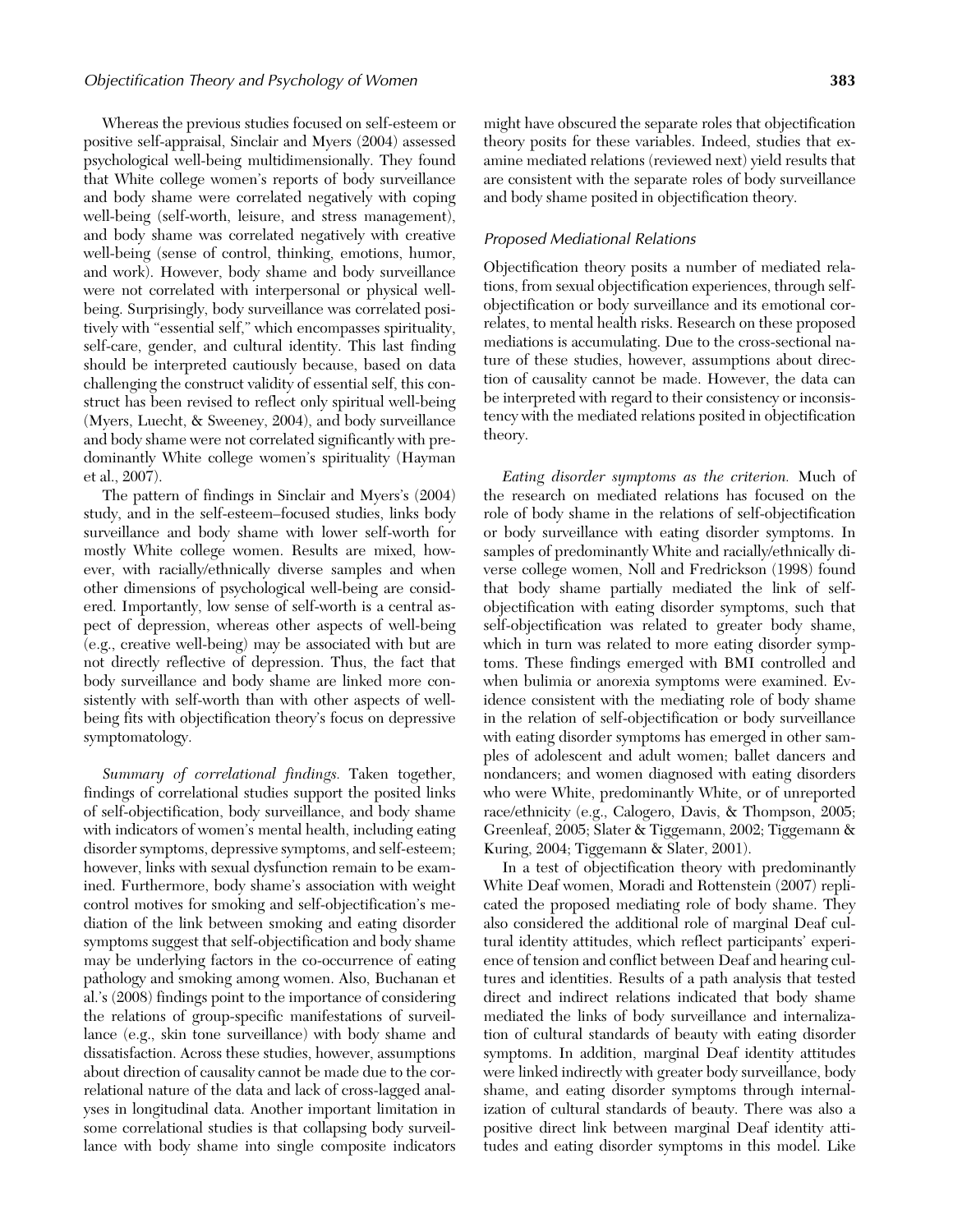Whereas the previous studies focused on self-esteem or positive self-appraisal, Sinclair and Myers (2004) assessed psychological well-being multidimensionally. They found that White college women's reports of body surveillance and body shame were correlated negatively with coping well-being (self-worth, leisure, and stress management), and body shame was correlated negatively with creative well-being (sense of control, thinking, emotions, humor, and work). However, body shame and body surveillance were not correlated with interpersonal or physical wellbeing. Surprisingly, body surveillance was correlated positively with "essential self," which encompasses spirituality, self-care, gender, and cultural identity. This last finding should be interpreted cautiously because, based on data challenging the construct validity of essential self, this construct has been revised to reflect only spiritual well-being (Myers, Luecht, & Sweeney, 2004), and body surveillance and body shame were not correlated significantly with predominantly White college women's spirituality (Hayman et al., 2007).

The pattern of findings in Sinclair and Myers's (2004) study, and in the self-esteem–focused studies, links body surveillance and body shame with lower self-worth for mostly White college women. Results are mixed, however, with racially/ethnically diverse samples and when other dimensions of psychological well-being are considered. Importantly, low sense of self-worth is a central aspect of depression, whereas other aspects of well-being (e.g., creative well-being) may be associated with but are not directly reflective of depression. Thus, the fact that body surveillance and body shame are linked more consistently with self-worth than with other aspects of wellbeing fits with objectification theory's focus on depressive symptomatology.

*Summary of correlational findings.* Taken together, findings of correlational studies support the posited links of self-objectification, body surveillance, and body shame with indicators of women's mental health, including eating disorder symptoms, depressive symptoms, and self-esteem; however, links with sexual dysfunction remain to be examined. Furthermore, body shame's association with weight control motives for smoking and self-objectification's mediation of the link between smoking and eating disorder symptoms suggest that self-objectification and body shame may be underlying factors in the co-occurrence of eating pathology and smoking among women. Also, Buchanan et al.'s (2008) findings point to the importance of considering the relations of group-specific manifestations of surveillance (e.g., skin tone surveillance) with body shame and dissatisfaction. Across these studies, however, assumptions about direction of causality cannot be made due to the correlational nature of the data and lack of cross-lagged analyses in longitudinal data. Another important limitation in some correlational studies is that collapsing body surveillance with body shame into single composite indicators might have obscured the separate roles that objectification theory posits for these variables. Indeed, studies that examine mediated relations (reviewed next) yield results that are consistent with the separate roles of body surveillance and body shame posited in objectification theory.

## Proposed Mediational Relations

Objectification theory posits a number of mediated relations, from sexual objectification experiences, through selfobjectification or body surveillance and its emotional correlates, to mental health risks. Research on these proposed mediations is accumulating. Due to the cross-sectional nature of these studies, however, assumptions about direction of causality cannot be made. However, the data can be interpreted with regard to their consistency or inconsistency with the mediated relations posited in objectification theory.

*Eating disorder symptoms as the criterion.* Much of the research on mediated relations has focused on the role of body shame in the relations of self-objectification or body surveillance with eating disorder symptoms. In samples of predominantly White and racially/ethnically diverse college women, Noll and Fredrickson (1998) found that body shame partially mediated the link of selfobjectification with eating disorder symptoms, such that self-objectification was related to greater body shame, which in turn was related to more eating disorder symptoms. These findings emerged with BMI controlled and when bulimia or anorexia symptoms were examined. Evidence consistent with the mediating role of body shame in the relation of self-objectification or body surveillance with eating disorder symptoms has emerged in other samples of adolescent and adult women; ballet dancers and nondancers; and women diagnosed with eating disorders who were White, predominantly White, or of unreported race/ethnicity (e.g., Calogero, Davis, & Thompson, 2005; Greenleaf, 2005; Slater & Tiggemann, 2002; Tiggemann & Kuring, 2004; Tiggemann & Slater, 2001).

In a test of objectification theory with predominantly White Deaf women, Moradi and Rottenstein (2007) replicated the proposed mediating role of body shame. They also considered the additional role of marginal Deaf cultural identity attitudes, which reflect participants' experience of tension and conflict between Deaf and hearing cultures and identities. Results of a path analysis that tested direct and indirect relations indicated that body shame mediated the links of body surveillance and internalization of cultural standards of beauty with eating disorder symptoms. In addition, marginal Deaf identity attitudes were linked indirectly with greater body surveillance, body shame, and eating disorder symptoms through internalization of cultural standards of beauty. There was also a positive direct link between marginal Deaf identity attitudes and eating disorder symptoms in this model. Like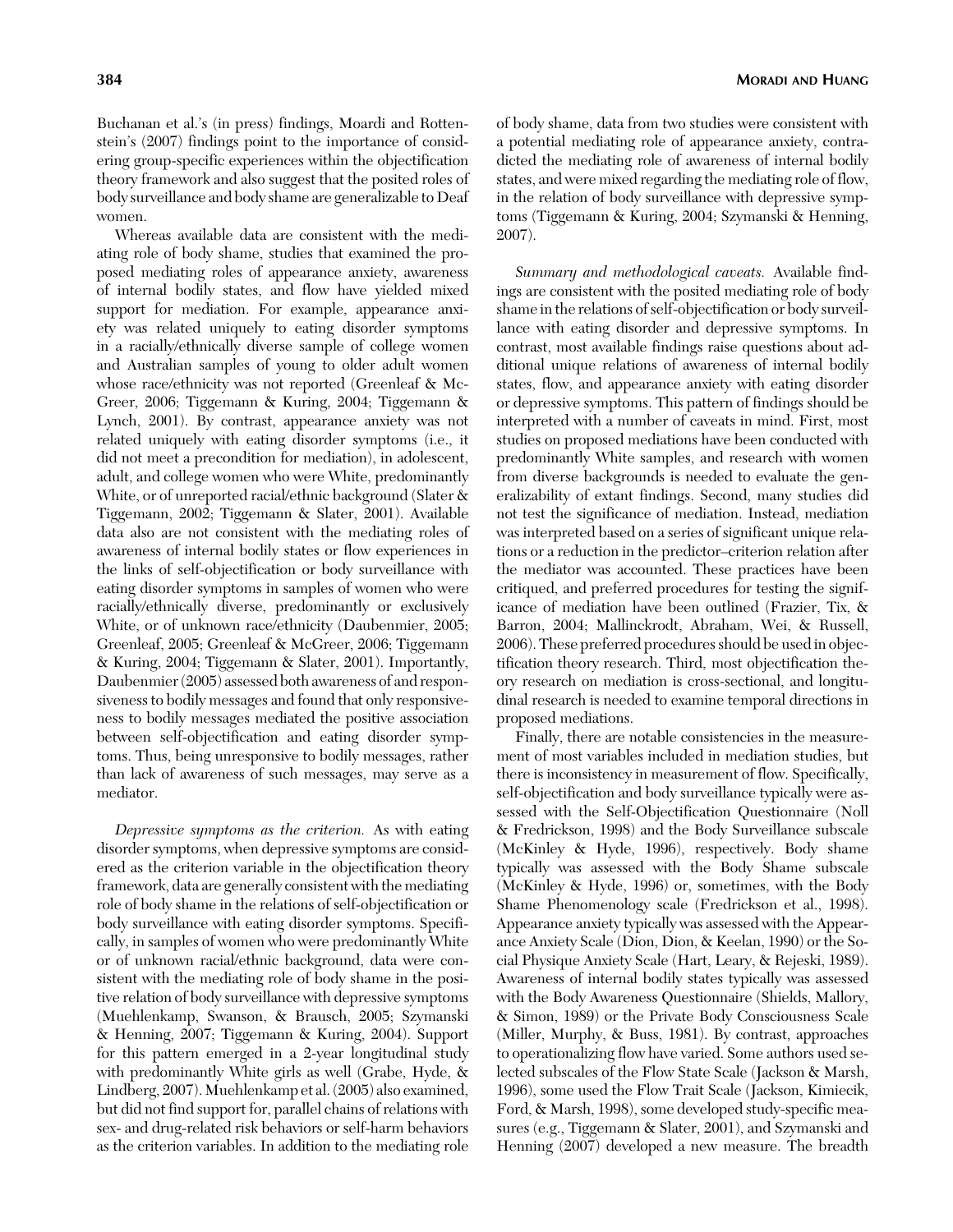Buchanan et al.'s (in press) findings, Moardi and Rottenstein's (2007) findings point to the importance of considering group-specific experiences within the objectification theory framework and also suggest that the posited roles of body surveillance and body shame are generalizable to Deaf women.

Whereas available data are consistent with the mediating role of body shame, studies that examined the proposed mediating roles of appearance anxiety, awareness of internal bodily states, and flow have yielded mixed support for mediation. For example, appearance anxiety was related uniquely to eating disorder symptoms in a racially/ethnically diverse sample of college women and Australian samples of young to older adult women whose race/ethnicity was not reported (Greenleaf & Mc-Greer, 2006; Tiggemann & Kuring, 2004; Tiggemann & Lynch, 2001). By contrast, appearance anxiety was not related uniquely with eating disorder symptoms (i.e., it did not meet a precondition for mediation), in adolescent, adult, and college women who were White, predominantly White, or of unreported racial/ethnic background (Slater & Tiggemann, 2002; Tiggemann & Slater, 2001). Available data also are not consistent with the mediating roles of awareness of internal bodily states or flow experiences in the links of self-objectification or body surveillance with eating disorder symptoms in samples of women who were racially/ethnically diverse, predominantly or exclusively White, or of unknown race/ethnicity (Daubenmier, 2005; Greenleaf, 2005; Greenleaf & McGreer, 2006; Tiggemann & Kuring, 2004; Tiggemann & Slater, 2001). Importantly, Daubenmier (2005) assessed both awareness of and responsiveness to bodily messages and found that only responsiveness to bodily messages mediated the positive association between self-objectification and eating disorder symptoms. Thus, being unresponsive to bodily messages, rather than lack of awareness of such messages, may serve as a mediator.

*Depressive symptoms as the criterion.* As with eating disorder symptoms, when depressive symptoms are considered as the criterion variable in the objectification theory framework, data are generally consistent with the mediating role of body shame in the relations of self-objectification or body surveillance with eating disorder symptoms. Specifically, in samples of women who were predominantly White or of unknown racial/ethnic background, data were consistent with the mediating role of body shame in the positive relation of body surveillance with depressive symptoms (Muehlenkamp, Swanson, & Brausch, 2005; Szymanski & Henning, 2007; Tiggemann & Kuring, 2004). Support for this pattern emerged in a 2-year longitudinal study with predominantly White girls as well (Grabe, Hyde, & Lindberg, 2007). Muehlenkamp et al. (2005) also examined, but did not find support for, parallel chains of relations with sex- and drug-related risk behaviors or self-harm behaviors as the criterion variables. In addition to the mediating role of body shame, data from two studies were consistent with a potential mediating role of appearance anxiety, contradicted the mediating role of awareness of internal bodily states, and were mixed regarding the mediating role of flow, in the relation of body surveillance with depressive symptoms (Tiggemann & Kuring, 2004; Szymanski & Henning, 2007).

*Summary and methodological caveats.* Available findings are consistent with the posited mediating role of body shame in the relations of self-objectification or body surveillance with eating disorder and depressive symptoms. In contrast, most available findings raise questions about additional unique relations of awareness of internal bodily states, flow, and appearance anxiety with eating disorder or depressive symptoms. This pattern of findings should be interpreted with a number of caveats in mind. First, most studies on proposed mediations have been conducted with predominantly White samples, and research with women from diverse backgrounds is needed to evaluate the generalizability of extant findings. Second, many studies did not test the significance of mediation. Instead, mediation was interpreted based on a series of significant unique relations or a reduction in the predictor–criterion relation after the mediator was accounted. These practices have been critiqued, and preferred procedures for testing the significance of mediation have been outlined (Frazier, Tix, & Barron, 2004; Mallinckrodt, Abraham, Wei, & Russell, 2006). These preferred procedures should be used in objectification theory research. Third, most objectification theory research on mediation is cross-sectional, and longitudinal research is needed to examine temporal directions in proposed mediations.

Finally, there are notable consistencies in the measurement of most variables included in mediation studies, but there is inconsistency in measurement of flow. Specifically, self-objectification and body surveillance typically were assessed with the Self-Objectification Questionnaire (Noll & Fredrickson, 1998) and the Body Surveillance subscale (McKinley & Hyde, 1996), respectively. Body shame typically was assessed with the Body Shame subscale (McKinley & Hyde, 1996) or, sometimes, with the Body Shame Phenomenology scale (Fredrickson et al., 1998). Appearance anxiety typically was assessed with the Appearance Anxiety Scale (Dion, Dion, & Keelan, 1990) or the Social Physique Anxiety Scale (Hart, Leary, & Rejeski, 1989). Awareness of internal bodily states typically was assessed with the Body Awareness Questionnaire (Shields, Mallory, & Simon, 1989) or the Private Body Consciousness Scale (Miller, Murphy, & Buss, 1981). By contrast, approaches to operationalizing flow have varied. Some authors used selected subscales of the Flow State Scale (Jackson & Marsh, 1996), some used the Flow Trait Scale (Jackson, Kimiecik, Ford, & Marsh, 1998), some developed study-specific measures (e.g., Tiggemann & Slater, 2001), and Szymanski and Henning (2007) developed a new measure. The breadth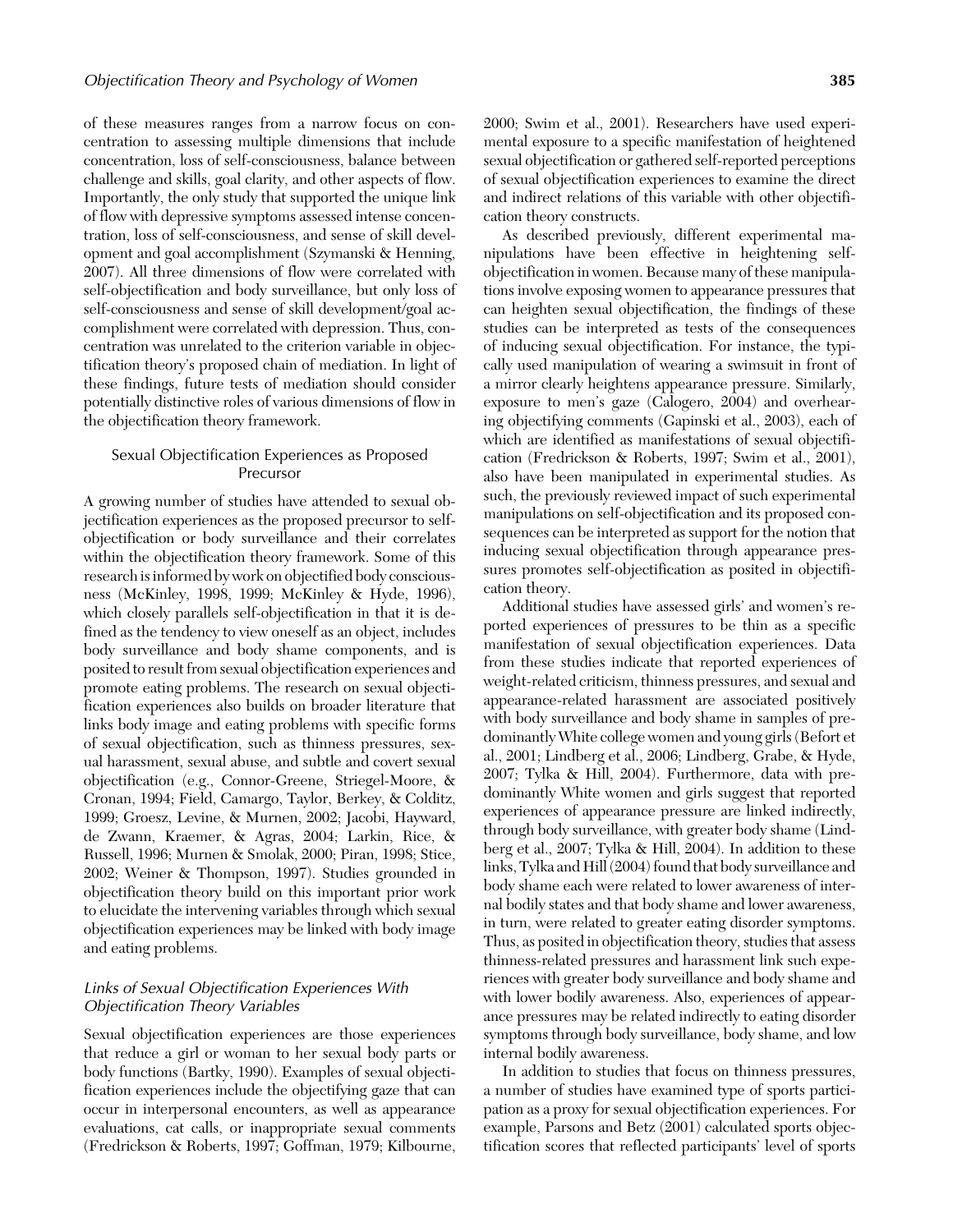of these measures ranges from a narrow focus on concentration to assessing multiple dimensions that include concentration, loss of self-consciousness, balance between challenge and skills, goal clarity, and other aspects of flow. Importantly, the only study that supported the unique link of flow with depressive symptoms assessed intense concentration, loss of self-consciousness, and sense of skill development and goal accomplishment (Szymanski & Henning, 2007). All three dimensions of flow were correlated with self-objectification and body surveillance, but only loss of self-consciousness and sense of skill development/goal accomplishment were correlated with depression. Thus, concentration was unrelated to the criterion variable in objectification theory's proposed chain of mediation. In light of these findings, future tests of mediation should consider potentially distinctive roles of various dimensions of flow in the objectification theory framework.

## Sexual Objectification Experiences as Proposed Precursor

A growing number of studies have attended to sexual objectification experiences as the proposed precursor to selfobjectification or body surveillance and their correlates within the objectification theory framework. Some of this research is informed by work on objectified body consciousness (McKinley, 1998, 1999; McKinley & Hyde, 1996), which closely parallels self-objectification in that it is defined as the tendency to view oneself as an object, includes body surveillance and body shame components, and is posited to result from sexual objectification experiences and promote eating problems. The research on sexual objectification experiences also builds on broader literature that links body image and eating problems with specific forms of sexual objectification, such as thinness pressures, sexual harassment, sexual abuse, and subtle and covert sexual objectification (e.g., Connor-Greene, Striegel-Moore, & Cronan, 1994; Field, Camargo, Taylor, Berkey, & Colditz, 1999; Groesz, Levine, & Murnen, 2002; Jacobi, Hayward, de Zwann, Kraemer, & Agras, 2004; Larkin, Rice, & Russell, 1996; Murnen & Smolak, 2000; Piran, 1998; Stice, 2002; Weiner & Thompson, 1997). Studies grounded in objectification theory build on this important prior work to elucidate the intervening variables through which sexual objectification experiences may be linked with body image and eating problems.

## Links of Sexual Objectification Experiences With Objectification Theory Variables

Sexual objectification experiences are those experiences that reduce a girl or woman to her sexual body parts or body functions (Bartky, 1990). Examples of sexual objectification experiences include the objectifying gaze that can occur in interpersonal encounters, as well as appearance evaluations, cat calls, or inappropriate sexual comments (Fredrickson & Roberts, 1997; Goffman, 1979; Kilbourne, 2000; Swim et al., 2001). Researchers have used experimental exposure to a specific manifestation of heightened sexual objectification or gathered self-reported perceptions of sexual objectification experiences to examine the direct and indirect relations of this variable with other objectification theory constructs.

As described previously, different experimental manipulations have been effective in heightening selfobjectification in women. Because many of these manipulations involve exposing women to appearance pressures that can heighten sexual objectification, the findings of these studies can be interpreted as tests of the consequences of inducing sexual objectification. For instance, the typically used manipulation of wearing a swimsuit in front of a mirror clearly heightens appearance pressure. Similarly, exposure to men's gaze (Calogero, 2004) and overhearing objectifying comments (Gapinski et al., 2003), each of which are identified as manifestations of sexual objectification (Fredrickson & Roberts, 1997; Swim et al., 2001), also have been manipulated in experimental studies. As such, the previously reviewed impact of such experimental manipulations on self-objectification and its proposed consequences can be interpreted as support for the notion that inducing sexual objectification through appearance pressures promotes self-objectification as posited in objectification theory.

Additional studies have assessed girls' and women's reported experiences of pressures to be thin as a specific manifestation of sexual objectification experiences. Data from these studies indicate that reported experiences of weight-related criticism, thinness pressures, and sexual and appearance-related harassment are associated positively with body surveillance and body shame in samples of predominantly White college women and young girls (Befort et al., 2001; Lindberg et al., 2006; Lindberg, Grabe, & Hyde, 2007; Tylka & Hill, 2004). Furthermore, data with predominantly White women and girls suggest that reported experiences of appearance pressure are linked indirectly, through body surveillance, with greater body shame (Lindberg et al., 2007; Tylka & Hill, 2004). In addition to these links, Tylka and Hill (2004) found that body surveillance and body shame each were related to lower awareness of internal bodily states and that body shame and lower awareness, in turn, were related to greater eating disorder symptoms. Thus, as posited in objectification theory, studies that assess thinness-related pressures and harassment link such experiences with greater body surveillance and body shame and with lower bodily awareness. Also, experiences of appearance pressures may be related indirectly to eating disorder symptoms through body surveillance, body shame, and low internal bodily awareness.

In addition to studies that focus on thinness pressures, a number of studies have examined type of sports participation as a proxy for sexual objectification experiences. For example, Parsons and Betz (2001) calculated sports objectification scores that reflected participants' level of sports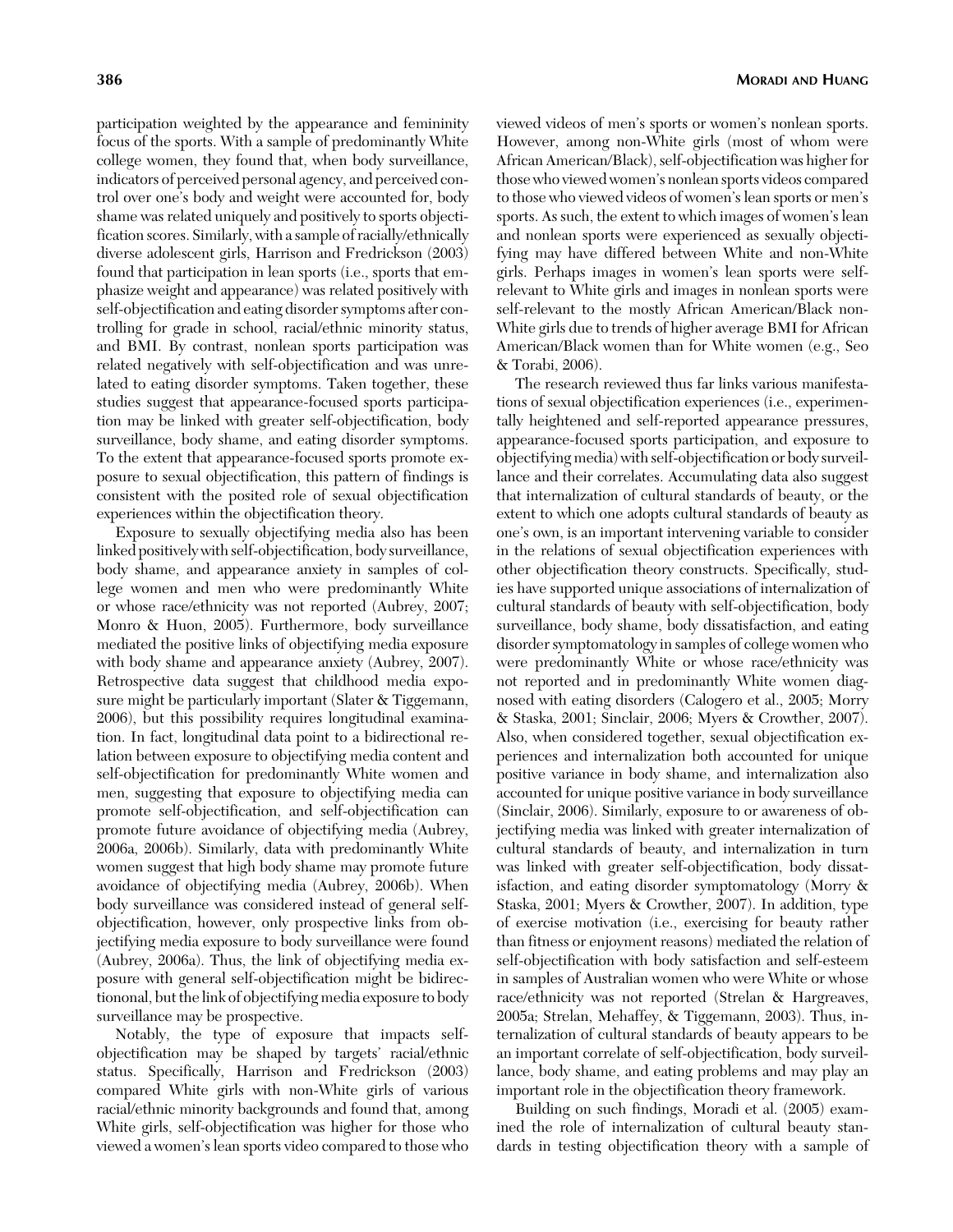participation weighted by the appearance and femininity focus of the sports. With a sample of predominantly White college women, they found that, when body surveillance, indicators of perceived personal agency, and perceived control over one's body and weight were accounted for, body shame was related uniquely and positively to sports objectification scores. Similarly, with a sample of racially/ethnically diverse adolescent girls, Harrison and Fredrickson (2003) found that participation in lean sports (i.e., sports that emphasize weight and appearance) was related positively with self-objectification and eating disorder symptoms after controlling for grade in school, racial/ethnic minority status, and BMI. By contrast, nonlean sports participation was related negatively with self-objectification and was unrelated to eating disorder symptoms. Taken together, these studies suggest that appearance-focused sports participation may be linked with greater self-objectification, body surveillance, body shame, and eating disorder symptoms. To the extent that appearance-focused sports promote exposure to sexual objectification, this pattern of findings is consistent with the posited role of sexual objectification experiences within the objectification theory.

Exposure to sexually objectifying media also has been linked positively with self-objectification, body surveillance, body shame, and appearance anxiety in samples of college women and men who were predominantly White or whose race/ethnicity was not reported (Aubrey, 2007; Monro & Huon, 2005). Furthermore, body surveillance mediated the positive links of objectifying media exposure with body shame and appearance anxiety (Aubrey, 2007). Retrospective data suggest that childhood media exposure might be particularly important (Slater & Tiggemann, 2006), but this possibility requires longitudinal examination. In fact, longitudinal data point to a bidirectional relation between exposure to objectifying media content and self-objectification for predominantly White women and men, suggesting that exposure to objectifying media can promote self-objectification, and self-objectification can promote future avoidance of objectifying media (Aubrey, 2006a, 2006b). Similarly, data with predominantly White women suggest that high body shame may promote future avoidance of objectifying media (Aubrey, 2006b). When body surveillance was considered instead of general selfobjectification, however, only prospective links from objectifying media exposure to body surveillance were found (Aubrey, 2006a). Thus, the link of objectifying media exposure with general self-objectification might be bidirectiononal, but the link of objectifying media exposure to body surveillance may be prospective.

Notably, the type of exposure that impacts selfobjectification may be shaped by targets' racial/ethnic status. Specifically, Harrison and Fredrickson (2003) compared White girls with non-White girls of various racial/ethnic minority backgrounds and found that, among White girls, self-objectification was higher for those who viewed a women's lean sports video compared to those who viewed videos of men's sports or women's nonlean sports. However, among non-White girls (most of whom were African American/Black), self-objectification was higher for those who viewed women's nonlean sports videos compared to those who viewed videos of women's lean sports or men's sports. As such, the extent to which images of women's lean and nonlean sports were experienced as sexually objectifying may have differed between White and non-White girls. Perhaps images in women's lean sports were selfrelevant to White girls and images in nonlean sports were self-relevant to the mostly African American/Black non-White girls due to trends of higher average BMI for African American/Black women than for White women (e.g., Seo & Torabi, 2006).

The research reviewed thus far links various manifestations of sexual objectification experiences (i.e., experimentally heightened and self-reported appearance pressures, appearance-focused sports participation, and exposure to objectifying media) with self-objectification or body surveillance and their correlates. Accumulating data also suggest that internalization of cultural standards of beauty, or the extent to which one adopts cultural standards of beauty as one's own, is an important intervening variable to consider in the relations of sexual objectification experiences with other objectification theory constructs. Specifically, studies have supported unique associations of internalization of cultural standards of beauty with self-objectification, body surveillance, body shame, body dissatisfaction, and eating disorder symptomatology in samples of college women who were predominantly White or whose race/ethnicity was not reported and in predominantly White women diagnosed with eating disorders (Calogero et al., 2005; Morry & Staska, 2001; Sinclair, 2006; Myers & Crowther, 2007). Also, when considered together, sexual objectification experiences and internalization both accounted for unique positive variance in body shame, and internalization also accounted for unique positive variance in body surveillance (Sinclair, 2006). Similarly, exposure to or awareness of objectifying media was linked with greater internalization of cultural standards of beauty, and internalization in turn was linked with greater self-objectification, body dissatisfaction, and eating disorder symptomatology (Morry & Staska, 2001; Myers & Crowther, 2007). In addition, type of exercise motivation (i.e., exercising for beauty rather than fitness or enjoyment reasons) mediated the relation of self-objectification with body satisfaction and self-esteem in samples of Australian women who were White or whose race/ethnicity was not reported (Strelan & Hargreaves, 2005a; Strelan, Mehaffey, & Tiggemann, 2003). Thus, internalization of cultural standards of beauty appears to be an important correlate of self-objectification, body surveillance, body shame, and eating problems and may play an important role in the objectification theory framework.

Building on such findings, Moradi et al. (2005) examined the role of internalization of cultural beauty standards in testing objectification theory with a sample of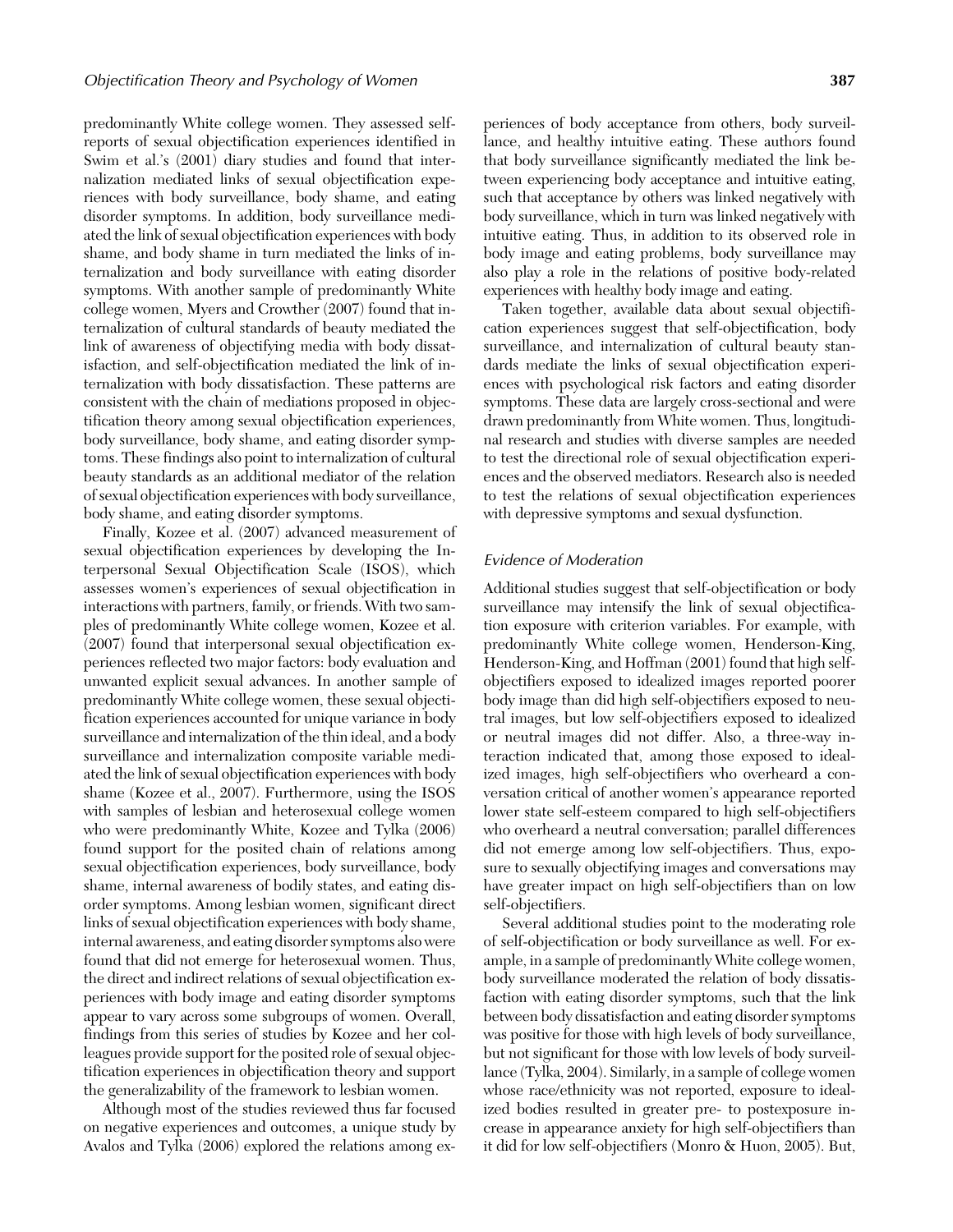predominantly White college women. They assessed selfreports of sexual objectification experiences identified in Swim et al.'s (2001) diary studies and found that internalization mediated links of sexual objectification experiences with body surveillance, body shame, and eating disorder symptoms. In addition, body surveillance mediated the link of sexual objectification experiences with body shame, and body shame in turn mediated the links of internalization and body surveillance with eating disorder symptoms. With another sample of predominantly White college women, Myers and Crowther (2007) found that internalization of cultural standards of beauty mediated the link of awareness of objectifying media with body dissatisfaction, and self-objectification mediated the link of internalization with body dissatisfaction. These patterns are consistent with the chain of mediations proposed in objectification theory among sexual objectification experiences, body surveillance, body shame, and eating disorder symptoms. These findings also point to internalization of cultural beauty standards as an additional mediator of the relation of sexual objectification experiences with body surveillance, body shame, and eating disorder symptoms.

Finally, Kozee et al. (2007) advanced measurement of sexual objectification experiences by developing the Interpersonal Sexual Objectification Scale (ISOS), which assesses women's experiences of sexual objectification in interactions with partners, family, or friends. With two samples of predominantly White college women, Kozee et al. (2007) found that interpersonal sexual objectification experiences reflected two major factors: body evaluation and unwanted explicit sexual advances. In another sample of predominantly White college women, these sexual objectification experiences accounted for unique variance in body surveillance and internalization of the thin ideal, and a body surveillance and internalization composite variable mediated the link of sexual objectification experiences with body shame (Kozee et al., 2007). Furthermore, using the ISOS with samples of lesbian and heterosexual college women who were predominantly White, Kozee and Tylka (2006) found support for the posited chain of relations among sexual objectification experiences, body surveillance, body shame, internal awareness of bodily states, and eating disorder symptoms. Among lesbian women, significant direct links of sexual objectification experiences with body shame, internal awareness, and eating disorder symptoms also were found that did not emerge for heterosexual women. Thus, the direct and indirect relations of sexual objectification experiences with body image and eating disorder symptoms appear to vary across some subgroups of women. Overall, findings from this series of studies by Kozee and her colleagues provide support for the posited role of sexual objectification experiences in objectification theory and support the generalizability of the framework to lesbian women.

Although most of the studies reviewed thus far focused on negative experiences and outcomes, a unique study by Avalos and Tylka (2006) explored the relations among experiences of body acceptance from others, body surveillance, and healthy intuitive eating. These authors found that body surveillance significantly mediated the link between experiencing body acceptance and intuitive eating, such that acceptance by others was linked negatively with body surveillance, which in turn was linked negatively with intuitive eating. Thus, in addition to its observed role in body image and eating problems, body surveillance may also play a role in the relations of positive body-related experiences with healthy body image and eating.

Taken together, available data about sexual objectification experiences suggest that self-objectification, body surveillance, and internalization of cultural beauty standards mediate the links of sexual objectification experiences with psychological risk factors and eating disorder symptoms. These data are largely cross-sectional and were drawn predominantly from White women. Thus, longitudinal research and studies with diverse samples are needed to test the directional role of sexual objectification experiences and the observed mediators. Research also is needed to test the relations of sexual objectification experiences with depressive symptoms and sexual dysfunction.

## Evidence of Moderation

Additional studies suggest that self-objectification or body surveillance may intensify the link of sexual objectification exposure with criterion variables. For example, with predominantly White college women, Henderson-King, Henderson-King, and Hoffman (2001) found that high selfobjectifiers exposed to idealized images reported poorer body image than did high self-objectifiers exposed to neutral images, but low self-objectifiers exposed to idealized or neutral images did not differ. Also, a three-way interaction indicated that, among those exposed to idealized images, high self-objectifiers who overheard a conversation critical of another women's appearance reported lower state self-esteem compared to high self-objectifiers who overheard a neutral conversation; parallel differences did not emerge among low self-objectifiers. Thus, exposure to sexually objectifying images and conversations may have greater impact on high self-objectifiers than on low self-objectifiers.

Several additional studies point to the moderating role of self-objectification or body surveillance as well. For example, in a sample of predominantly White college women, body surveillance moderated the relation of body dissatisfaction with eating disorder symptoms, such that the link between body dissatisfaction and eating disorder symptoms was positive for those with high levels of body surveillance, but not significant for those with low levels of body surveillance (Tylka, 2004). Similarly, in a sample of college women whose race/ethnicity was not reported, exposure to idealized bodies resulted in greater pre- to postexposure increase in appearance anxiety for high self-objectifiers than it did for low self-objectifiers (Monro & Huon, 2005). But,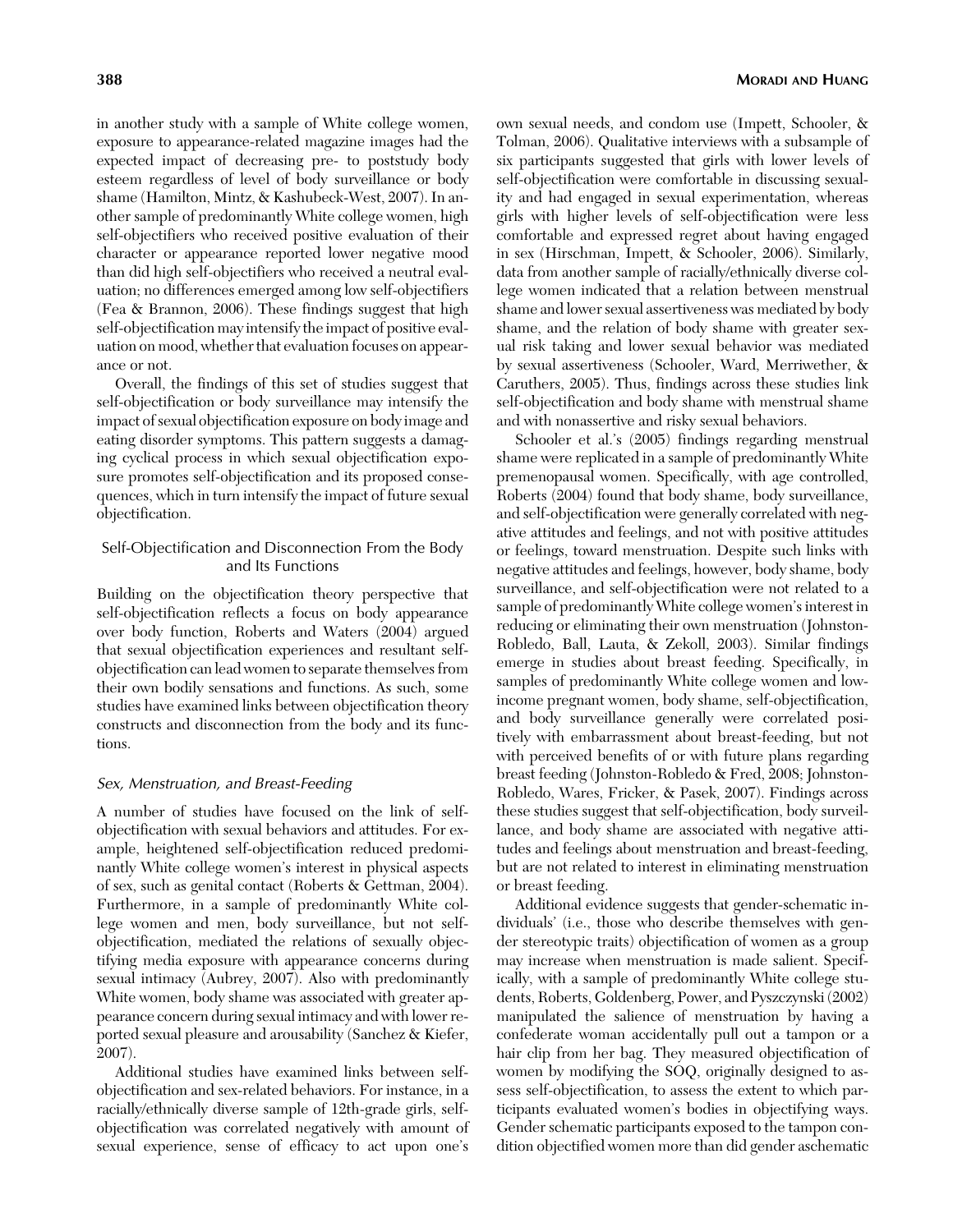in another study with a sample of White college women, exposure to appearance-related magazine images had the expected impact of decreasing pre- to poststudy body esteem regardless of level of body surveillance or body shame (Hamilton, Mintz, & Kashubeck-West, 2007). In another sample of predominantly White college women, high self-objectifiers who received positive evaluation of their character or appearance reported lower negative mood than did high self-objectifiers who received a neutral evaluation; no differences emerged among low self-objectifiers (Fea & Brannon, 2006). These findings suggest that high self-objectification may intensify the impact of positive evaluation on mood, whether that evaluation focuses on appearance or not.

Overall, the findings of this set of studies suggest that self-objectification or body surveillance may intensify the impact of sexual objectification exposure on body image and eating disorder symptoms. This pattern suggests a damaging cyclical process in which sexual objectification exposure promotes self-objectification and its proposed consequences, which in turn intensify the impact of future sexual objectification.

# Self-Objectification and Disconnection From the Body and Its Functions

Building on the objectification theory perspective that self-objectification reflects a focus on body appearance over body function, Roberts and Waters (2004) argued that sexual objectification experiences and resultant selfobjectification can lead women to separate themselves from their own bodily sensations and functions. As such, some studies have examined links between objectification theory constructs and disconnection from the body and its functions.

## Sex, Menstruation, and Breast-Feeding

A number of studies have focused on the link of selfobjectification with sexual behaviors and attitudes. For example, heightened self-objectification reduced predominantly White college women's interest in physical aspects of sex, such as genital contact (Roberts & Gettman, 2004). Furthermore, in a sample of predominantly White college women and men, body surveillance, but not selfobjectification, mediated the relations of sexually objectifying media exposure with appearance concerns during sexual intimacy (Aubrey, 2007). Also with predominantly White women, body shame was associated with greater appearance concern during sexual intimacy and with lower reported sexual pleasure and arousability (Sanchez & Kiefer, 2007).

Additional studies have examined links between selfobjectification and sex-related behaviors. For instance, in a racially/ethnically diverse sample of 12th-grade girls, selfobjectification was correlated negatively with amount of sexual experience, sense of efficacy to act upon one's own sexual needs, and condom use (Impett, Schooler, & Tolman, 2006). Qualitative interviews with a subsample of six participants suggested that girls with lower levels of self-objectification were comfortable in discussing sexuality and had engaged in sexual experimentation, whereas girls with higher levels of self-objectification were less comfortable and expressed regret about having engaged in sex (Hirschman, Impett, & Schooler, 2006). Similarly, data from another sample of racially/ethnically diverse college women indicated that a relation between menstrual shame and lower sexual assertiveness was mediated by body shame, and the relation of body shame with greater sexual risk taking and lower sexual behavior was mediated by sexual assertiveness (Schooler, Ward, Merriwether, & Caruthers, 2005). Thus, findings across these studies link self-objectification and body shame with menstrual shame and with nonassertive and risky sexual behaviors.

Schooler et al.'s (2005) findings regarding menstrual shame were replicated in a sample of predominantly White premenopausal women. Specifically, with age controlled, Roberts (2004) found that body shame, body surveillance, and self-objectification were generally correlated with negative attitudes and feelings, and not with positive attitudes or feelings, toward menstruation. Despite such links with negative attitudes and feelings, however, body shame, body surveillance, and self-objectification were not related to a sample of predominantly White college women's interest in reducing or eliminating their own menstruation (Johnston-Robledo, Ball, Lauta, & Zekoll, 2003). Similar findings emerge in studies about breast feeding. Specifically, in samples of predominantly White college women and lowincome pregnant women, body shame, self-objectification, and body surveillance generally were correlated positively with embarrassment about breast-feeding, but not with perceived benefits of or with future plans regarding breast feeding (Johnston-Robledo & Fred, 2008; Johnston-Robledo, Wares, Fricker, & Pasek, 2007). Findings across these studies suggest that self-objectification, body surveillance, and body shame are associated with negative attitudes and feelings about menstruation and breast-feeding, but are not related to interest in eliminating menstruation or breast feeding.

Additional evidence suggests that gender-schematic individuals' (i.e., those who describe themselves with gender stereotypic traits) objectification of women as a group may increase when menstruation is made salient. Specifically, with a sample of predominantly White college students, Roberts, Goldenberg, Power, and Pyszczynski (2002) manipulated the salience of menstruation by having a confederate woman accidentally pull out a tampon or a hair clip from her bag. They measured objectification of women by modifying the SOQ, originally designed to assess self-objectification, to assess the extent to which participants evaluated women's bodies in objectifying ways. Gender schematic participants exposed to the tampon condition objectified women more than did gender aschematic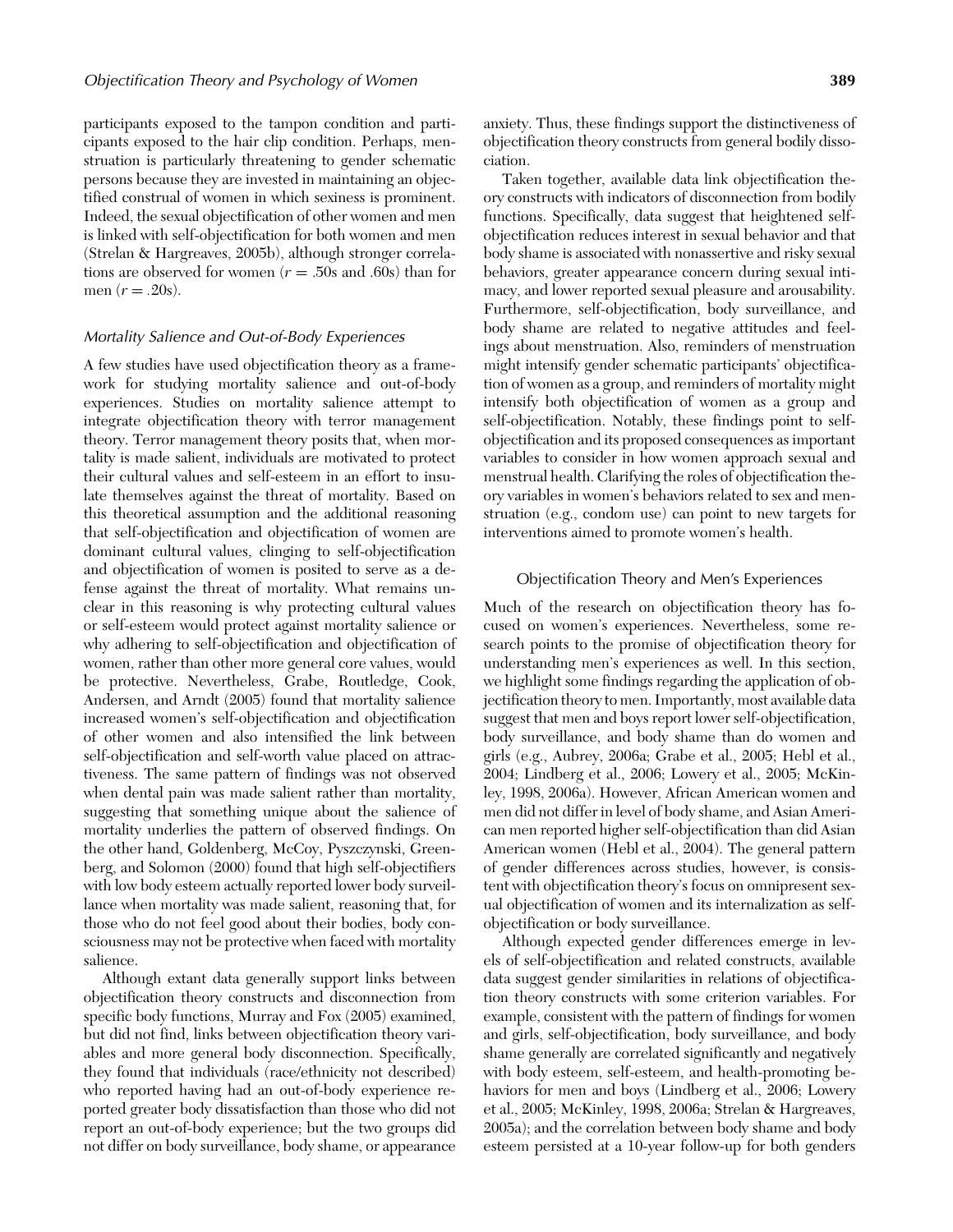participants exposed to the tampon condition and participants exposed to the hair clip condition. Perhaps, menstruation is particularly threatening to gender schematic persons because they are invested in maintaining an objectified construal of women in which sexiness is prominent. Indeed, the sexual objectification of other women and men is linked with self-objectification for both women and men (Strelan & Hargreaves, 2005b), although stronger correlations are observed for women  $(r = .50s$  and .60s) than for men  $(r = .20s)$ .

## Mortality Salience and Out-of-Body Experiences

A few studies have used objectification theory as a framework for studying mortality salience and out-of-body experiences. Studies on mortality salience attempt to integrate objectification theory with terror management theory. Terror management theory posits that, when mortality is made salient, individuals are motivated to protect their cultural values and self-esteem in an effort to insulate themselves against the threat of mortality. Based on this theoretical assumption and the additional reasoning that self-objectification and objectification of women are dominant cultural values, clinging to self-objectification and objectification of women is posited to serve as a defense against the threat of mortality. What remains unclear in this reasoning is why protecting cultural values or self-esteem would protect against mortality salience or why adhering to self-objectification and objectification of women, rather than other more general core values, would be protective. Nevertheless, Grabe, Routledge, Cook, Andersen, and Arndt (2005) found that mortality salience increased women's self-objectification and objectification of other women and also intensified the link between self-objectification and self-worth value placed on attractiveness. The same pattern of findings was not observed when dental pain was made salient rather than mortality, suggesting that something unique about the salience of mortality underlies the pattern of observed findings. On the other hand, Goldenberg, McCoy, Pyszczynski, Greenberg, and Solomon (2000) found that high self-objectifiers with low body esteem actually reported lower body surveillance when mortality was made salient, reasoning that, for those who do not feel good about their bodies, body consciousness may not be protective when faced with mortality salience.

Although extant data generally support links between objectification theory constructs and disconnection from specific body functions, Murray and Fox (2005) examined, but did not find, links between objectification theory variables and more general body disconnection. Specifically, they found that individuals (race/ethnicity not described) who reported having had an out-of-body experience reported greater body dissatisfaction than those who did not report an out-of-body experience; but the two groups did not differ on body surveillance, body shame, or appearance anxiety. Thus, these findings support the distinctiveness of objectification theory constructs from general bodily dissociation.

Taken together, available data link objectification theory constructs with indicators of disconnection from bodily functions. Specifically, data suggest that heightened selfobjectification reduces interest in sexual behavior and that body shame is associated with nonassertive and risky sexual behaviors, greater appearance concern during sexual intimacy, and lower reported sexual pleasure and arousability. Furthermore, self-objectification, body surveillance, and body shame are related to negative attitudes and feelings about menstruation. Also, reminders of menstruation might intensify gender schematic participants' objectification of women as a group, and reminders of mortality might intensify both objectification of women as a group and self-objectification. Notably, these findings point to selfobjectification and its proposed consequences as important variables to consider in how women approach sexual and menstrual health. Clarifying the roles of objectification theory variables in women's behaviors related to sex and menstruation (e.g., condom use) can point to new targets for interventions aimed to promote women's health.

## Objectification Theory and Men's Experiences

Much of the research on objectification theory has focused on women's experiences. Nevertheless, some research points to the promise of objectification theory for understanding men's experiences as well. In this section, we highlight some findings regarding the application of objectification theory to men. Importantly, most available data suggest that men and boys report lower self-objectification, body surveillance, and body shame than do women and girls (e.g., Aubrey, 2006a; Grabe et al., 2005; Hebl et al., 2004; Lindberg et al., 2006; Lowery et al., 2005; McKinley, 1998, 2006a). However, African American women and men did not differ in level of body shame, and Asian American men reported higher self-objectification than did Asian American women (Hebl et al., 2004). The general pattern of gender differences across studies, however, is consistent with objectification theory's focus on omnipresent sexual objectification of women and its internalization as selfobjectification or body surveillance.

Although expected gender differences emerge in levels of self-objectification and related constructs, available data suggest gender similarities in relations of objectification theory constructs with some criterion variables. For example, consistent with the pattern of findings for women and girls, self-objectification, body surveillance, and body shame generally are correlated significantly and negatively with body esteem, self-esteem, and health-promoting behaviors for men and boys (Lindberg et al., 2006; Lowery et al., 2005; McKinley, 1998, 2006a; Strelan & Hargreaves, 2005a); and the correlation between body shame and body esteem persisted at a 10-year follow-up for both genders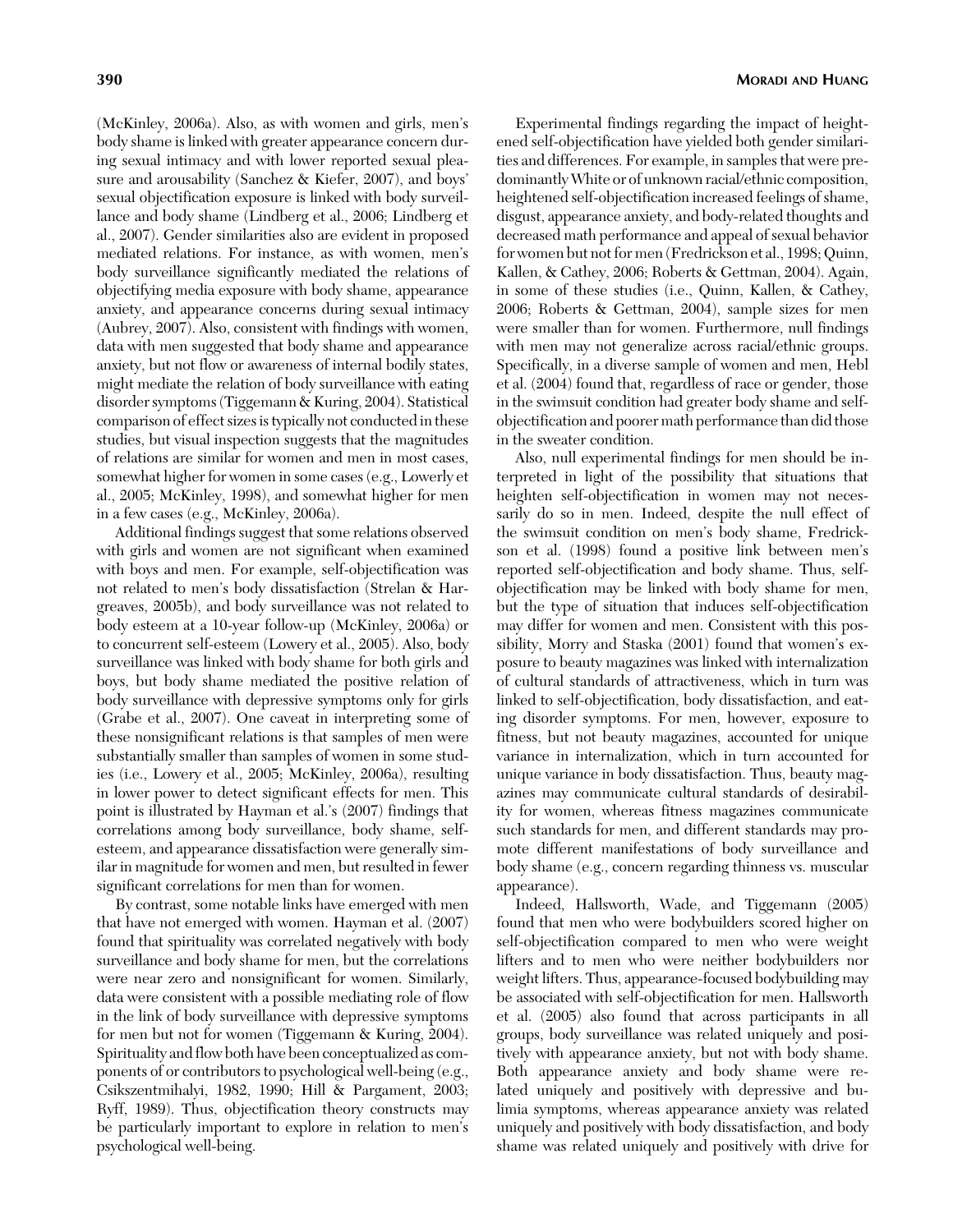(McKinley, 2006a). Also, as with women and girls, men's body shame is linked with greater appearance concern during sexual intimacy and with lower reported sexual pleasure and arousability (Sanchez & Kiefer, 2007), and boys' sexual objectification exposure is linked with body surveillance and body shame (Lindberg et al., 2006; Lindberg et al., 2007). Gender similarities also are evident in proposed mediated relations. For instance, as with women, men's body surveillance significantly mediated the relations of objectifying media exposure with body shame, appearance anxiety, and appearance concerns during sexual intimacy (Aubrey, 2007). Also, consistent with findings with women, data with men suggested that body shame and appearance anxiety, but not flow or awareness of internal bodily states, might mediate the relation of body surveillance with eating disorder symptoms (Tiggemann & Kuring, 2004). Statistical comparison of effect sizes is typically not conducted in these studies, but visual inspection suggests that the magnitudes of relations are similar for women and men in most cases, somewhat higher for women in some cases (e.g., Lowerly et al., 2005; McKinley, 1998), and somewhat higher for men in a few cases (e.g., McKinley, 2006a).

Additional findings suggest that some relations observed with girls and women are not significant when examined with boys and men. For example, self-objectification was not related to men's body dissatisfaction (Strelan & Hargreaves, 2005b), and body surveillance was not related to body esteem at a 10-year follow-up (McKinley, 2006a) or to concurrent self-esteem (Lowery et al., 2005). Also, body surveillance was linked with body shame for both girls and boys, but body shame mediated the positive relation of body surveillance with depressive symptoms only for girls (Grabe et al., 2007). One caveat in interpreting some of these nonsignificant relations is that samples of men were substantially smaller than samples of women in some studies (i.e., Lowery et al., 2005; McKinley, 2006a), resulting in lower power to detect significant effects for men. This point is illustrated by Hayman et al.'s (2007) findings that correlations among body surveillance, body shame, selfesteem, and appearance dissatisfaction were generally similar in magnitude for women and men, but resulted in fewer significant correlations for men than for women.

By contrast, some notable links have emerged with men that have not emerged with women. Hayman et al. (2007) found that spirituality was correlated negatively with body surveillance and body shame for men, but the correlations were near zero and nonsignificant for women. Similarly, data were consistent with a possible mediating role of flow in the link of body surveillance with depressive symptoms for men but not for women (Tiggemann & Kuring, 2004). Spirituality and flow both have been conceptualized as components of or contributors to psychological well-being (e.g., Csikszentmihalyi, 1982, 1990; Hill & Pargament, 2003; Ryff, 1989). Thus, objectification theory constructs may be particularly important to explore in relation to men's psychological well-being.

**390 MORADI AND HUANG**

Experimental findings regarding the impact of heightened self-objectification have yielded both gender similarities and differences. For example, in samples that were predominantly White or of unknown racial/ethnic composition, heightened self-objectification increased feelings of shame, disgust, appearance anxiety, and body-related thoughts and decreased math performance and appeal of sexual behavior for women but not for men (Fredrickson et al., 1998; Quinn, Kallen, & Cathey, 2006; Roberts & Gettman, 2004). Again, in some of these studies (i.e., Quinn, Kallen, & Cathey, 2006; Roberts & Gettman, 2004), sample sizes for men were smaller than for women. Furthermore, null findings with men may not generalize across racial/ethnic groups. Specifically, in a diverse sample of women and men, Hebl et al. (2004) found that, regardless of race or gender, those in the swimsuit condition had greater body shame and selfobjectification and poorer math performance than did those in the sweater condition.

Also, null experimental findings for men should be interpreted in light of the possibility that situations that heighten self-objectification in women may not necessarily do so in men. Indeed, despite the null effect of the swimsuit condition on men's body shame, Fredrickson et al. (1998) found a positive link between men's reported self-objectification and body shame. Thus, selfobjectification may be linked with body shame for men, but the type of situation that induces self-objectification may differ for women and men. Consistent with this possibility, Morry and Staska (2001) found that women's exposure to beauty magazines was linked with internalization of cultural standards of attractiveness, which in turn was linked to self-objectification, body dissatisfaction, and eating disorder symptoms. For men, however, exposure to fitness, but not beauty magazines, accounted for unique variance in internalization, which in turn accounted for unique variance in body dissatisfaction. Thus, beauty magazines may communicate cultural standards of desirability for women, whereas fitness magazines communicate such standards for men, and different standards may promote different manifestations of body surveillance and body shame (e.g., concern regarding thinness vs. muscular appearance).

Indeed, Hallsworth, Wade, and Tiggemann (2005) found that men who were bodybuilders scored higher on self-objectification compared to men who were weight lifters and to men who were neither bodybuilders nor weight lifters. Thus, appearance-focused bodybuilding may be associated with self-objectification for men. Hallsworth et al. (2005) also found that across participants in all groups, body surveillance was related uniquely and positively with appearance anxiety, but not with body shame. Both appearance anxiety and body shame were related uniquely and positively with depressive and bulimia symptoms, whereas appearance anxiety was related uniquely and positively with body dissatisfaction, and body shame was related uniquely and positively with drive for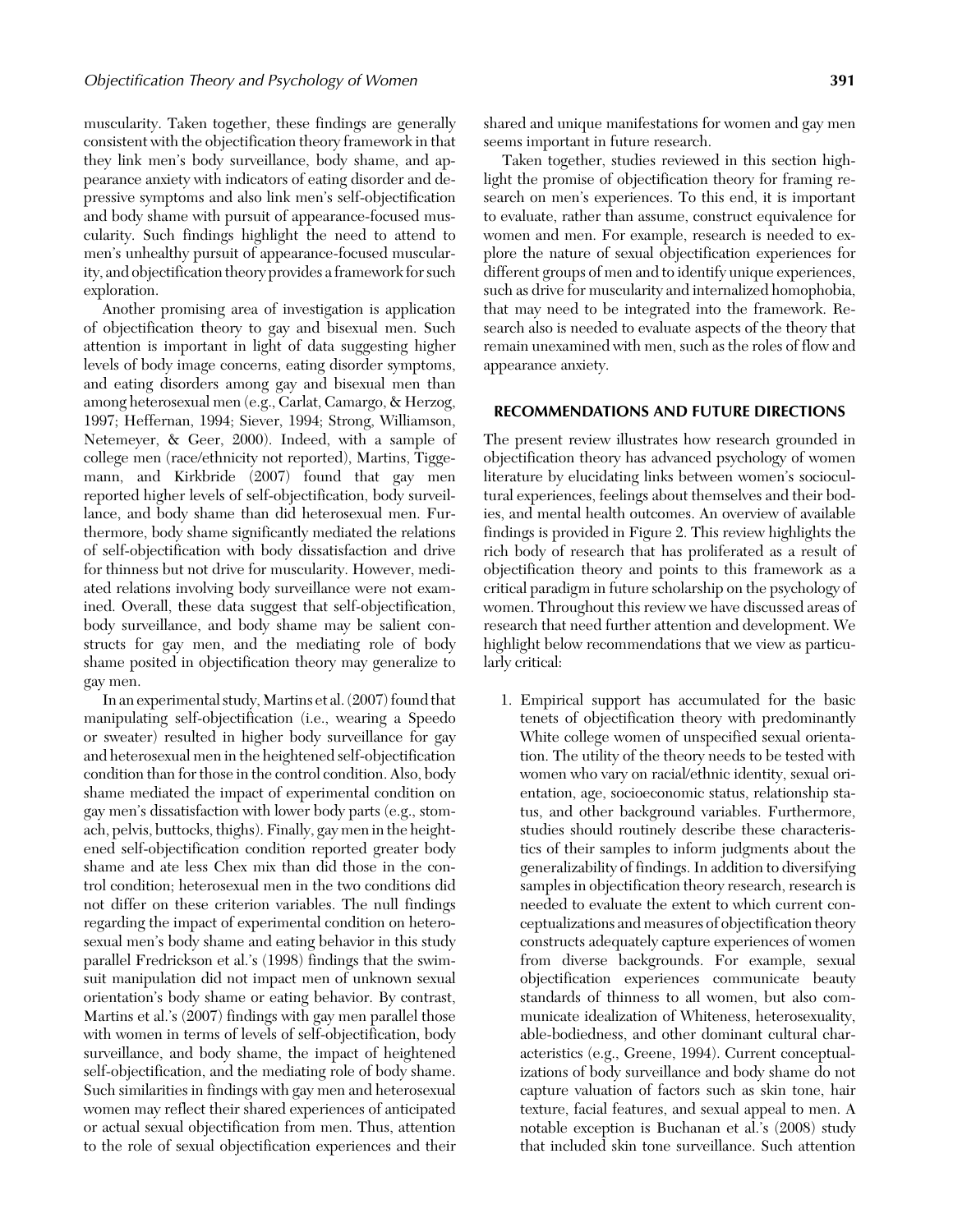muscularity. Taken together, these findings are generally consistent with the objectification theory framework in that they link men's body surveillance, body shame, and appearance anxiety with indicators of eating disorder and depressive symptoms and also link men's self-objectification and body shame with pursuit of appearance-focused muscularity. Such findings highlight the need to attend to men's unhealthy pursuit of appearance-focused muscularity, and objectification theory provides a framework for such exploration.

Another promising area of investigation is application of objectification theory to gay and bisexual men. Such attention is important in light of data suggesting higher levels of body image concerns, eating disorder symptoms, and eating disorders among gay and bisexual men than among heterosexual men (e.g., Carlat, Camargo, & Herzog, 1997; Heffernan, 1994; Siever, 1994; Strong, Williamson, Netemeyer, & Geer, 2000). Indeed, with a sample of college men (race/ethnicity not reported), Martins, Tiggemann, and Kirkbride (2007) found that gay men reported higher levels of self-objectification, body surveillance, and body shame than did heterosexual men. Furthermore, body shame significantly mediated the relations of self-objectification with body dissatisfaction and drive for thinness but not drive for muscularity. However, mediated relations involving body surveillance were not examined. Overall, these data suggest that self-objectification, body surveillance, and body shame may be salient constructs for gay men, and the mediating role of body shame posited in objectification theory may generalize to gay men.

In an experimental study, Martins et al. (2007) found that manipulating self-objectification (i.e., wearing a Speedo or sweater) resulted in higher body surveillance for gay and heterosexual men in the heightened self-objectification condition than for those in the control condition. Also, body shame mediated the impact of experimental condition on gay men's dissatisfaction with lower body parts (e.g., stomach, pelvis, buttocks, thighs). Finally, gay men in the heightened self-objectification condition reported greater body shame and ate less Chex mix than did those in the control condition; heterosexual men in the two conditions did not differ on these criterion variables. The null findings regarding the impact of experimental condition on heterosexual men's body shame and eating behavior in this study parallel Fredrickson et al.'s (1998) findings that the swimsuit manipulation did not impact men of unknown sexual orientation's body shame or eating behavior. By contrast, Martins et al.'s (2007) findings with gay men parallel those with women in terms of levels of self-objectification, body surveillance, and body shame, the impact of heightened self-objectification, and the mediating role of body shame. Such similarities in findings with gay men and heterosexual women may reflect their shared experiences of anticipated or actual sexual objectification from men. Thus, attention to the role of sexual objectification experiences and their shared and unique manifestations for women and gay men seems important in future research.

Taken together, studies reviewed in this section highlight the promise of objectification theory for framing research on men's experiences. To this end, it is important to evaluate, rather than assume, construct equivalence for women and men. For example, research is needed to explore the nature of sexual objectification experiences for different groups of men and to identify unique experiences, such as drive for muscularity and internalized homophobia, that may need to be integrated into the framework. Research also is needed to evaluate aspects of the theory that remain unexamined with men, such as the roles of flow and appearance anxiety.

## **RECOMMENDATIONS AND FUTURE DIRECTIONS**

The present review illustrates how research grounded in objectification theory has advanced psychology of women literature by elucidating links between women's sociocultural experiences, feelings about themselves and their bodies, and mental health outcomes. An overview of available findings is provided in Figure 2. This review highlights the rich body of research that has proliferated as a result of objectification theory and points to this framework as a critical paradigm in future scholarship on the psychology of women. Throughout this review we have discussed areas of research that need further attention and development. We highlight below recommendations that we view as particularly critical:

1. Empirical support has accumulated for the basic tenets of objectification theory with predominantly White college women of unspecified sexual orientation. The utility of the theory needs to be tested with women who vary on racial/ethnic identity, sexual orientation, age, socioeconomic status, relationship status, and other background variables. Furthermore, studies should routinely describe these characteristics of their samples to inform judgments about the generalizability of findings. In addition to diversifying samples in objectification theory research, research is needed to evaluate the extent to which current conceptualizations and measures of objectification theory constructs adequately capture experiences of women from diverse backgrounds. For example, sexual objectification experiences communicate beauty standards of thinness to all women, but also communicate idealization of Whiteness, heterosexuality, able-bodiedness, and other dominant cultural characteristics (e.g., Greene, 1994). Current conceptualizations of body surveillance and body shame do not capture valuation of factors such as skin tone, hair texture, facial features, and sexual appeal to men. A notable exception is Buchanan et al.'s (2008) study that included skin tone surveillance. Such attention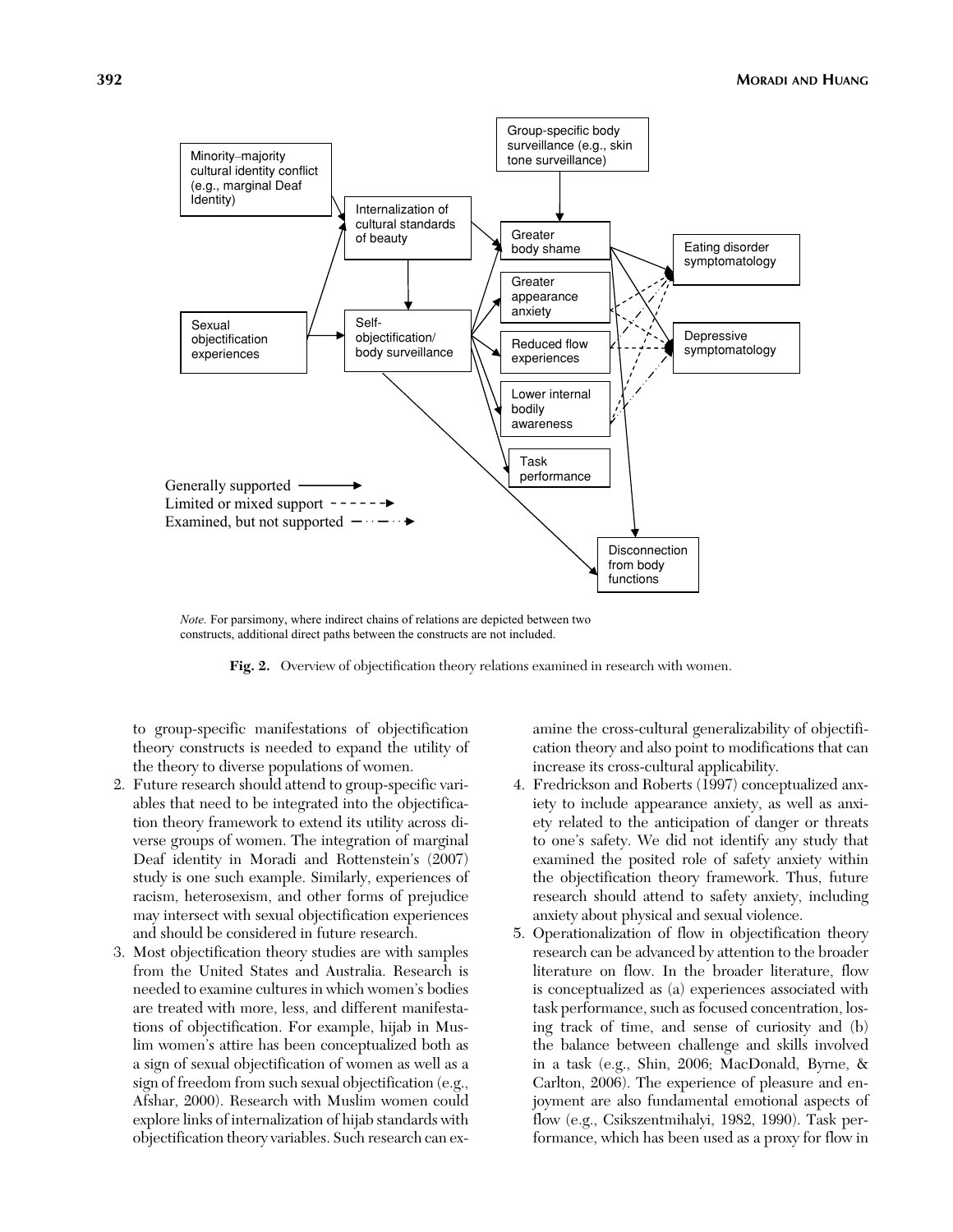

*Note.* For parsimony, where indirect chains of relations are depicted between two constructs, additional direct paths between the constructs are not included.

Fig. 2. Overview of objectification theory relations examined in research with women.

to group-specific manifestations of objectification theory constructs is needed to expand the utility of the theory to diverse populations of women.

- 2. Future research should attend to group-specific variables that need to be integrated into the objectification theory framework to extend its utility across diverse groups of women. The integration of marginal Deaf identity in Moradi and Rottenstein's (2007) study is one such example. Similarly, experiences of racism, heterosexism, and other forms of prejudice may intersect with sexual objectification experiences and should be considered in future research.
- 3. Most objectification theory studies are with samples from the United States and Australia. Research is needed to examine cultures in which women's bodies are treated with more, less, and different manifestations of objectification. For example, hijab in Muslim women's attire has been conceptualized both as a sign of sexual objectification of women as well as a sign of freedom from such sexual objectification (e.g., Afshar, 2000). Research with Muslim women could explore links of internalization of hijab standards with objectification theory variables. Such research can ex-

amine the cross-cultural generalizability of objectification theory and also point to modifications that can increase its cross-cultural applicability.

- 4. Fredrickson and Roberts (1997) conceptualized anxiety to include appearance anxiety, as well as anxiety related to the anticipation of danger or threats to one's safety. We did not identify any study that examined the posited role of safety anxiety within the objectification theory framework. Thus, future research should attend to safety anxiety, including anxiety about physical and sexual violence.
- 5. Operationalization of flow in objectification theory research can be advanced by attention to the broader literature on flow. In the broader literature, flow is conceptualized as (a) experiences associated with task performance, such as focused concentration, losing track of time, and sense of curiosity and (b) the balance between challenge and skills involved in a task (e.g., Shin, 2006; MacDonald, Byrne, & Carlton, 2006). The experience of pleasure and enjoyment are also fundamental emotional aspects of flow (e.g., Csikszentmihalyi, 1982, 1990). Task performance, which has been used as a proxy for flow in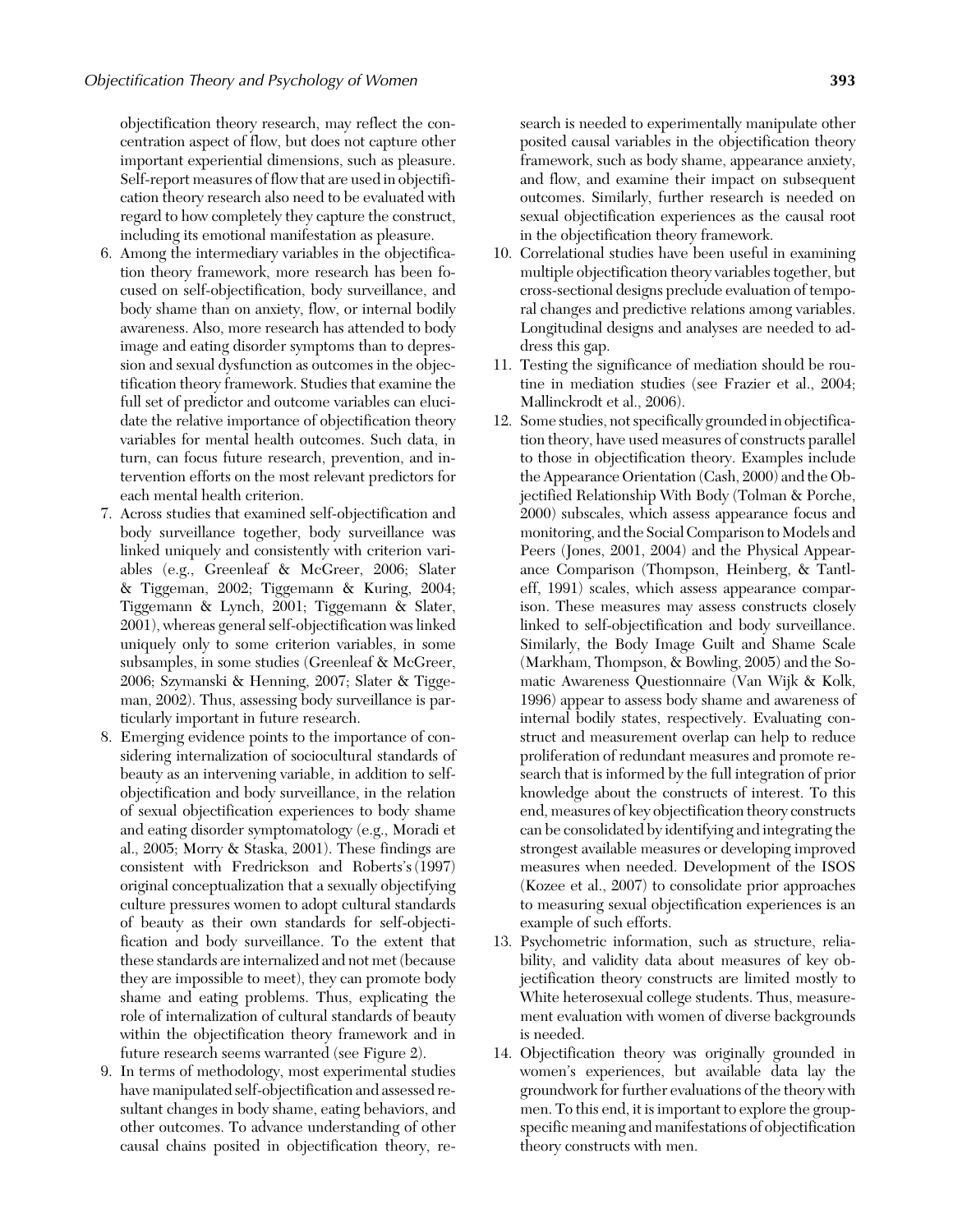objectification theory research, may reflect the concentration aspect of flow, but does not capture other important experiential dimensions, such as pleasure. Self-report measures of flow that are used in objectification theory research also need to be evaluated with regard to how completely they capture the construct, including its emotional manifestation as pleasure.

- 6. Among the intermediary variables in the objectification theory framework, more research has been focused on self-objectification, body surveillance, and body shame than on anxiety, flow, or internal bodily awareness. Also, more research has attended to body image and eating disorder symptoms than to depression and sexual dysfunction as outcomes in the objectification theory framework. Studies that examine the full set of predictor and outcome variables can elucidate the relative importance of objectification theory variables for mental health outcomes. Such data, in turn, can focus future research, prevention, and intervention efforts on the most relevant predictors for each mental health criterion.
- 7. Across studies that examined self-objectification and body surveillance together, body surveillance was linked uniquely and consistently with criterion variables (e.g., Greenleaf & McGreer, 2006; Slater & Tiggeman, 2002; Tiggemann & Kuring, 2004; Tiggemann & Lynch, 2001; Tiggemann & Slater, 2001), whereas general self-objectification was linked uniquely only to some criterion variables, in some subsamples, in some studies (Greenleaf & McGreer, 2006; Szymanski & Henning, 2007; Slater & Tiggeman, 2002). Thus, assessing body surveillance is particularly important in future research.
- 8. Emerging evidence points to the importance of considering internalization of sociocultural standards of beauty as an intervening variable, in addition to selfobjectification and body surveillance, in the relation of sexual objectification experiences to body shame and eating disorder symptomatology (e.g., Moradi et al., 2005; Morry & Staska, 2001). These findings are consistent with Fredrickson and Roberts's (1997) original conceptualization that a sexually objectifying culture pressures women to adopt cultural standards of beauty as their own standards for self-objectification and body surveillance. To the extent that these standards are internalized and not met (because they are impossible to meet), they can promote body shame and eating problems. Thus, explicating the role of internalization of cultural standards of beauty within the objectification theory framework and in future research seems warranted (see Figure 2).
- 9. In terms of methodology, most experimental studies have manipulated self-objectification and assessed resultant changes in body shame, eating behaviors, and other outcomes. To advance understanding of other causal chains posited in objectification theory, re-

search is needed to experimentally manipulate other posited causal variables in the objectification theory framework, such as body shame, appearance anxiety, and flow, and examine their impact on subsequent outcomes. Similarly, further research is needed on sexual objectification experiences as the causal root in the objectification theory framework.

- 10. Correlational studies have been useful in examining multiple objectification theory variables together, but cross-sectional designs preclude evaluation of temporal changes and predictive relations among variables. Longitudinal designs and analyses are needed to address this gap.
- 11. Testing the significance of mediation should be routine in mediation studies (see Frazier et al., 2004; Mallinckrodt et al., 2006).
- 12. Some studies, not specifically grounded in objectification theory, have used measures of constructs parallel to those in objectification theory. Examples include the Appearance Orientation (Cash, 2000) and the Objectified Relationship With Body (Tolman & Porche, 2000) subscales, which assess appearance focus and monitoring, and the Social Comparison to Models and Peers (Jones, 2001, 2004) and the Physical Appearance Comparison (Thompson, Heinberg, & Tantleff, 1991) scales, which assess appearance comparison. These measures may assess constructs closely linked to self-objectification and body surveillance. Similarly, the Body Image Guilt and Shame Scale (Markham, Thompson, & Bowling, 2005) and the Somatic Awareness Questionnaire (Van Wijk & Kolk, 1996) appear to assess body shame and awareness of internal bodily states, respectively. Evaluating construct and measurement overlap can help to reduce proliferation of redundant measures and promote research that is informed by the full integration of prior knowledge about the constructs of interest. To this end, measures of key objectification theory constructs can be consolidated by identifying and integrating the strongest available measures or developing improved measures when needed. Development of the ISOS (Kozee et al., 2007) to consolidate prior approaches to measuring sexual objectification experiences is an example of such efforts.
- 13. Psychometric information, such as structure, reliability, and validity data about measures of key objectification theory constructs are limited mostly to White heterosexual college students. Thus, measurement evaluation with women of diverse backgrounds is needed.
- 14. Objectification theory was originally grounded in women's experiences, but available data lay the groundwork for further evaluations of the theory with men. To this end, it is important to explore the groupspecific meaning and manifestations of objectification theory constructs with men.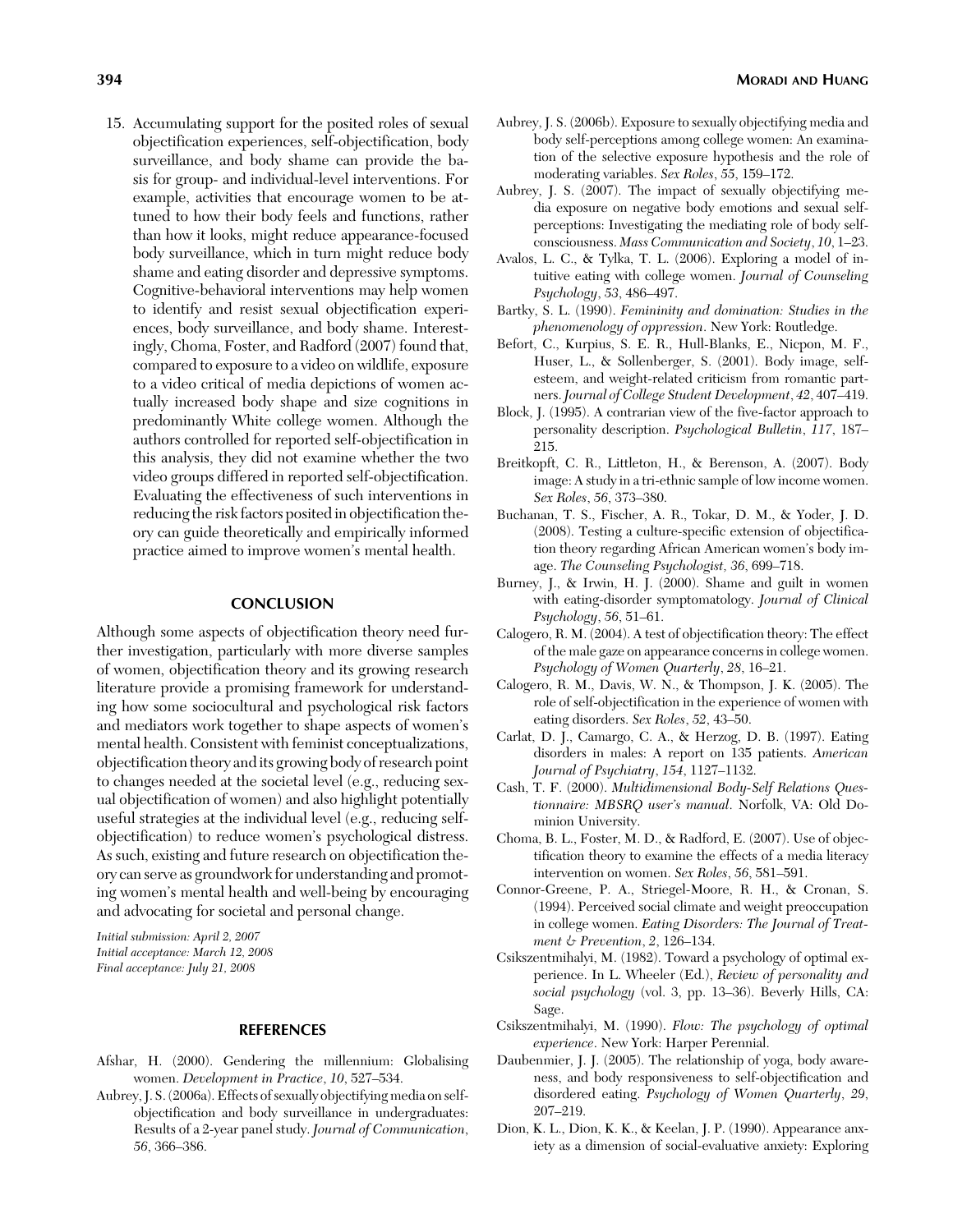15. Accumulating support for the posited roles of sexual objectification experiences, self-objectification, body surveillance, and body shame can provide the basis for group- and individual-level interventions. For example, activities that encourage women to be attuned to how their body feels and functions, rather than how it looks, might reduce appearance-focused body surveillance, which in turn might reduce body shame and eating disorder and depressive symptoms. Cognitive-behavioral interventions may help women to identify and resist sexual objectification experiences, body surveillance, and body shame. Interestingly, Choma, Foster, and Radford (2007) found that, compared to exposure to a video on wildlife, exposure to a video critical of media depictions of women actually increased body shape and size cognitions in predominantly White college women. Although the authors controlled for reported self-objectification in this analysis, they did not examine whether the two video groups differed in reported self-objectification. Evaluating the effectiveness of such interventions in reducing the risk factors posited in objectification theory can guide theoretically and empirically informed practice aimed to improve women's mental health.

#### **CONCLUSION**

Although some aspects of objectification theory need further investigation, particularly with more diverse samples of women, objectification theory and its growing research literature provide a promising framework for understanding how some sociocultural and psychological risk factors and mediators work together to shape aspects of women's mental health. Consistent with feminist conceptualizations, objectification theory and its growing body of research point to changes needed at the societal level (e.g., reducing sexual objectification of women) and also highlight potentially useful strategies at the individual level (e.g., reducing selfobjectification) to reduce women's psychological distress. As such, existing and future research on objectification theory can serve as groundwork for understanding and promoting women's mental health and well-being by encouraging and advocating for societal and personal change.

*Initial submission: April 2, 2007 Initial acceptance: March 12, 2008 Final acceptance: July 21, 2008*

#### **REFERENCES**

- Afshar, H. (2000). Gendering the millennium: Globalising women. *Development in Practice*, *10*, 527–534.
- Aubrey, J. S. (2006a). Effects of sexually objectifying media on selfobjectification and body surveillance in undergraduates: Results of a 2-year panel study. *Journal of Communication*, *56*, 366–386.
- Aubrey, J. S. (2006b). Exposure to sexually objectifying media and body self-perceptions among college women: An examination of the selective exposure hypothesis and the role of moderating variables. *Sex Roles*, *55*, 159–172.
- Aubrey, J. S. (2007). The impact of sexually objectifying media exposure on negative body emotions and sexual selfperceptions: Investigating the mediating role of body selfconsciousness. *Mass Communication and Society*, *10*, 1–23.
- Avalos, L. C., & Tylka, T. L. (2006). Exploring a model of intuitive eating with college women. *Journal of Counseling Psychology*, *53*, 486–497.
- Bartky, S. L. (1990). *Femininity and domination: Studies in the phenomenology of oppression*. New York: Routledge.
- Befort, C., Kurpius, S. E. R., Hull-Blanks, E., Nicpon, M. F., Huser, L., & Sollenberger, S. (2001). Body image, selfesteem, and weight-related criticism from romantic partners.*Journal of College Student Development*, *42*, 407–419.
- Block, J. (1995). A contrarian view of the five-factor approach to personality description. *Psychological Bulletin*, *117*, 187– 215.
- Breitkopft, C. R., Littleton, H., & Berenson, A. (2007). Body image: A study in a tri-ethnic sample of low income women. *Sex Roles*, *56*, 373–380.
- Buchanan, T. S., Fischer, A. R., Tokar, D. M., & Yoder, J. D. (2008). Testing a culture-specific extension of objectification theory regarding African American women's body image. *The Counseling Psychologist, 36*, 699–718.
- Burney, J., & Irwin, H. J. (2000). Shame and guilt in women with eating-disorder symptomatology. *Journal of Clinical Psychology*, *56*, 51–61.
- Calogero, R. M. (2004). A test of objectification theory: The effect of the male gaze on appearance concerns in college women. *Psychology of Women Quarterly*, *28*, 16–21.
- Calogero, R. M., Davis, W. N., & Thompson, J. K. (2005). The role of self-objectification in the experience of women with eating disorders. *Sex Roles*, *52*, 43–50.
- Carlat, D. J., Camargo, C. A., & Herzog, D. B. (1997). Eating disorders in males: A report on 135 patients. *American Journal of Psychiatry*, *154*, 1127–1132.
- Cash, T. F. (2000). *Multidimensional Body-Self Relations Questionnaire: MBSRQ user's manual*. Norfolk, VA: Old Dominion University.
- Choma, B. L., Foster, M. D., & Radford, E. (2007). Use of objectification theory to examine the effects of a media literacy intervention on women. *Sex Roles*, *56*, 581–591.
- Connor-Greene, P. A., Striegel-Moore, R. H., & Cronan, S. (1994). Perceived social climate and weight preoccupation in college women. *Eating Disorders: The Journal of Treatment & Prevention*, *2*, 126–134.
- Csikszentmihalyi, M. (1982). Toward a psychology of optimal experience. In L. Wheeler (Ed.), *Review of personality and social psychology* (vol. 3, pp. 13–36). Beverly Hills, CA: Sage.
- Csikszentmihalyi, M. (1990). *Flow: The psychology of optimal experience*. New York: Harper Perennial.
- Daubenmier, J. J. (2005). The relationship of yoga, body awareness, and body responsiveness to self-objectification and disordered eating. *Psychology of Women Quarterly*, *29*, 207–219.
- Dion, K. L., Dion, K. K., & Keelan, J. P. (1990). Appearance anxiety as a dimension of social-evaluative anxiety: Exploring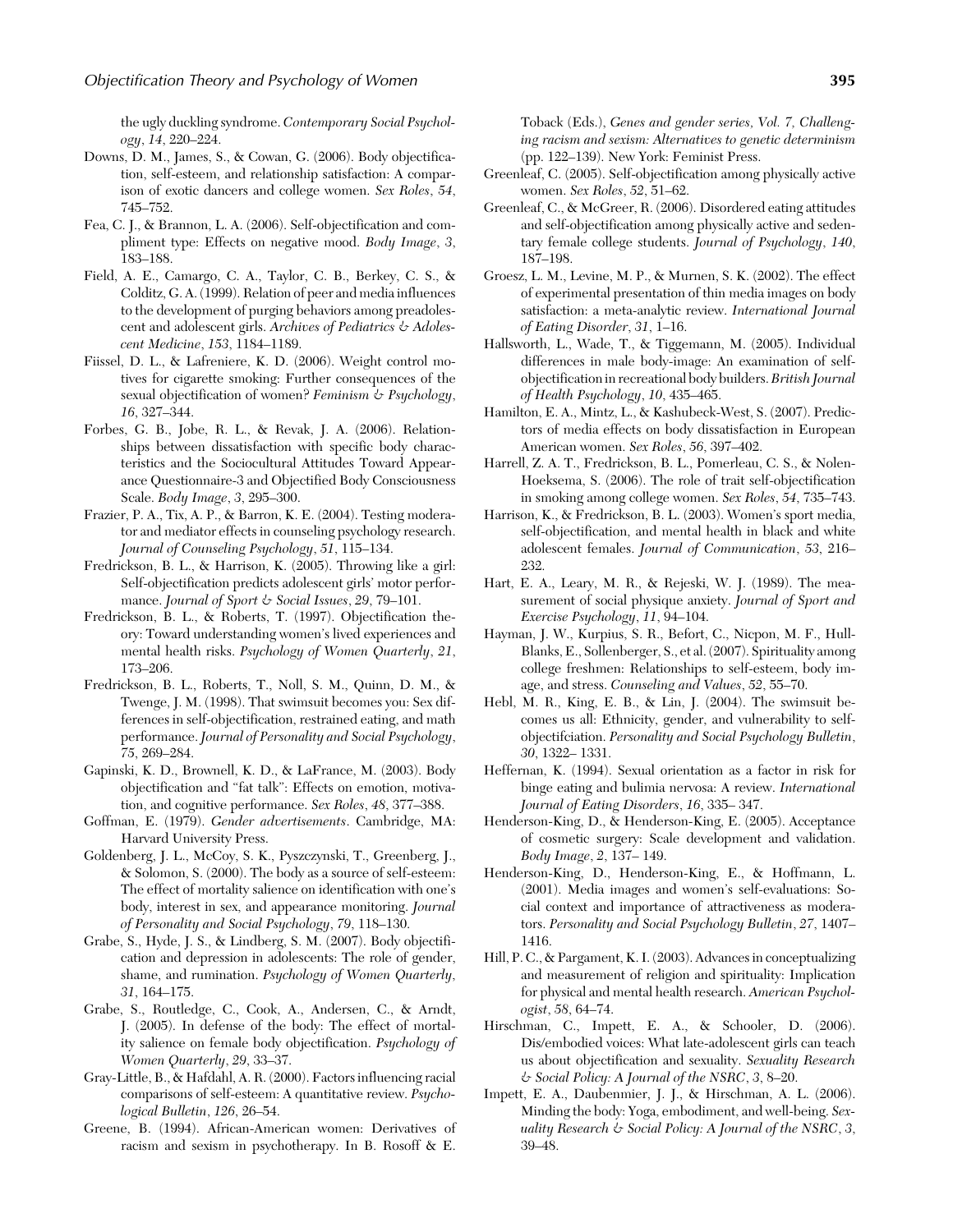the ugly duckling syndrome. *Contemporary Social Psychology*, *14*, 220–224.

- Downs, D. M., James, S., & Cowan, G. (2006). Body objectification, self-esteem, and relationship satisfaction: A comparison of exotic dancers and college women. *Sex Roles*, *54*, 745–752.
- Fea, C. J., & Brannon, L. A. (2006). Self-objectification and compliment type: Effects on negative mood. *Body Image*, *3*, 183–188.
- Field, A. E., Camargo, C. A., Taylor, C. B., Berkey, C. S., & Colditz, G. A. (1999). Relation of peer and media influences to the development of purging behaviors among preadolescent and adolescent girls. *Archives of Pediatrics & Adolescent Medicine*, *153*, 1184–1189.
- Fiissel, D. L., & Lafreniere, K. D. (2006). Weight control motives for cigarette smoking: Further consequences of the sexual objectification of women? *Feminism & Psychology*, *16*, 327–344.
- Forbes, G. B., Jobe, R. L., & Revak, J. A. (2006). Relationships between dissatisfaction with specific body characteristics and the Sociocultural Attitudes Toward Appearance Questionnaire-3 and Objectified Body Consciousness Scale. *Body Image*, *3*, 295–300.
- Frazier, P. A., Tix, A. P., & Barron, K. E. (2004). Testing moderator and mediator effects in counseling psychology research. *Journal of Counseling Psychology*, *51*, 115–134.
- Fredrickson, B. L., & Harrison, K. (2005). Throwing like a girl: Self-objectification predicts adolescent girls' motor performance. *Journal of Sport & Social Issues*, *29*, 79–101.
- Fredrickson, B. L., & Roberts, T. (1997). Objectification theory: Toward understanding women's lived experiences and mental health risks. *Psychology of Women Quarterly*, *21*, 173–206.
- Fredrickson, B. L., Roberts, T., Noll, S. M., Quinn, D. M., & Twenge, J. M. (1998). That swimsuit becomes you: Sex differences in self-objectification, restrained eating, and math performance. *Journal of Personality and Social Psychology*, *75*, 269–284.
- Gapinski, K. D., Brownell, K. D., & LaFrance, M. (2003). Body objectification and "fat talk": Effects on emotion, motivation, and cognitive performance. *Sex Roles*, *48*, 377–388.
- Goffman, E. (1979). *Gender advertisements*. Cambridge, MA: Harvard University Press.
- Goldenberg, J. L., McCoy, S. K., Pyszczynski, T., Greenberg, J., & Solomon, S. (2000). The body as a source of self-esteem: The effect of mortality salience on identification with one's body, interest in sex, and appearance monitoring. *Journal of Personality and Social Psychology*, *79*, 118–130.
- Grabe, S., Hyde, J. S., & Lindberg, S. M. (2007). Body objectification and depression in adolescents: The role of gender, shame, and rumination. *Psychology of Women Quarterly*, *31*, 164–175.
- Grabe, S., Routledge, C., Cook, A., Andersen, C., & Arndt, J. (2005). In defense of the body: The effect of mortality salience on female body objectification. *Psychology of Women Quarterly*, *29*, 33–37.
- Gray-Little, B., & Hafdahl, A. R. (2000). Factors influencing racial comparisons of self-esteem: A quantitative review. *Psychological Bulletin*, *126*, 26–54.
- Greene, B. (1994). African-American women: Derivatives of racism and sexism in psychotherapy. In B. Rosoff & E.

Toback (Eds.), *Genes and gender series, Vol. 7, Challenging racism and sexism: Alternatives to genetic determinism* (pp. 122–139). New York: Feminist Press.

- Greenleaf, C. (2005). Self-objectification among physically active women. *Sex Roles*, *52*, 51–62.
- Greenleaf, C., & McGreer, R. (2006). Disordered eating attitudes and self-objectification among physically active and sedentary female college students. *Journal of Psychology*, *140*, 187–198.
- Groesz, L. M., Levine, M. P., & Murnen, S. K. (2002). The effect of experimental presentation of thin media images on body satisfaction: a meta-analytic review. *International Journal of Eating Disorder*, *31*, 1–16.
- Hallsworth, L., Wade, T., & Tiggemann, M. (2005). Individual differences in male body-image: An examination of selfobjectification in recreational body builders.*British Journal of Health Psychology*, *10*, 435–465.
- Hamilton, E. A., Mintz, L., & Kashubeck-West, S. (2007). Predictors of media effects on body dissatisfaction in European American women. *Sex Roles*, *56*, 397–402.
- Harrell, Z. A. T., Fredrickson, B. L., Pomerleau, C. S., & Nolen-Hoeksema, S. (2006). The role of trait self-objectification in smoking among college women. *Sex Roles*, *54*, 735–743.
- Harrison, K., & Fredrickson, B. L. (2003). Women's sport media, self-objectification, and mental health in black and white adolescent females. *Journal of Communication*, *53*, 216– 232.
- Hart, E. A., Leary, M. R., & Rejeski, W. J. (1989). The measurement of social physique anxiety. *Journal of Sport and Exercise Psychology*, *11*, 94–104.
- Hayman, J. W., Kurpius, S. R., Befort, C., Nicpon, M. F., Hull-Blanks, E., Sollenberger, S., et al. (2007). Spirituality among college freshmen: Relationships to self-esteem, body image, and stress. *Counseling and Values*, *52*, 55–70.
- Hebl, M. R., King, E. B., & Lin, J. (2004). The swimsuit becomes us all: Ethnicity, gender, and vulnerability to selfobjectifciation. *Personality and Social Psychology Bulletin*, *30*, 1322– 1331.
- Heffernan, K. (1994). Sexual orientation as a factor in risk for binge eating and bulimia nervosa: A review. *International Journal of Eating Disorders*, *16*, 335– 347.
- Henderson-King, D., & Henderson-King, E. (2005). Acceptance of cosmetic surgery: Scale development and validation. *Body Image*, *2*, 137– 149.
- Henderson-King, D., Henderson-King, E., & Hoffmann, L. (2001). Media images and women's self-evaluations: Social context and importance of attractiveness as moderators. *Personality and Social Psychology Bulletin*, *27*, 1407– 1416.
- Hill, P. C., & Pargament, K. I. (2003). Advances in conceptualizing and measurement of religion and spirituality: Implication for physical and mental health research. *American Psychologist*, *58*, 64–74.
- Hirschman, C., Impett, E. A., & Schooler, D. (2006). Dis/embodied voices: What late-adolescent girls can teach us about objectification and sexuality. *Sexuality Research & Social Policy: A Journal of the NSRC*, *3*, 8–20.
- Impett, E. A., Daubenmier, J. J., & Hirschman, A. L. (2006). Minding the body: Yoga, embodiment, and well-being. *Sexuality Research & Social Policy: A Journal of the NSRC*, *3*, 39–48.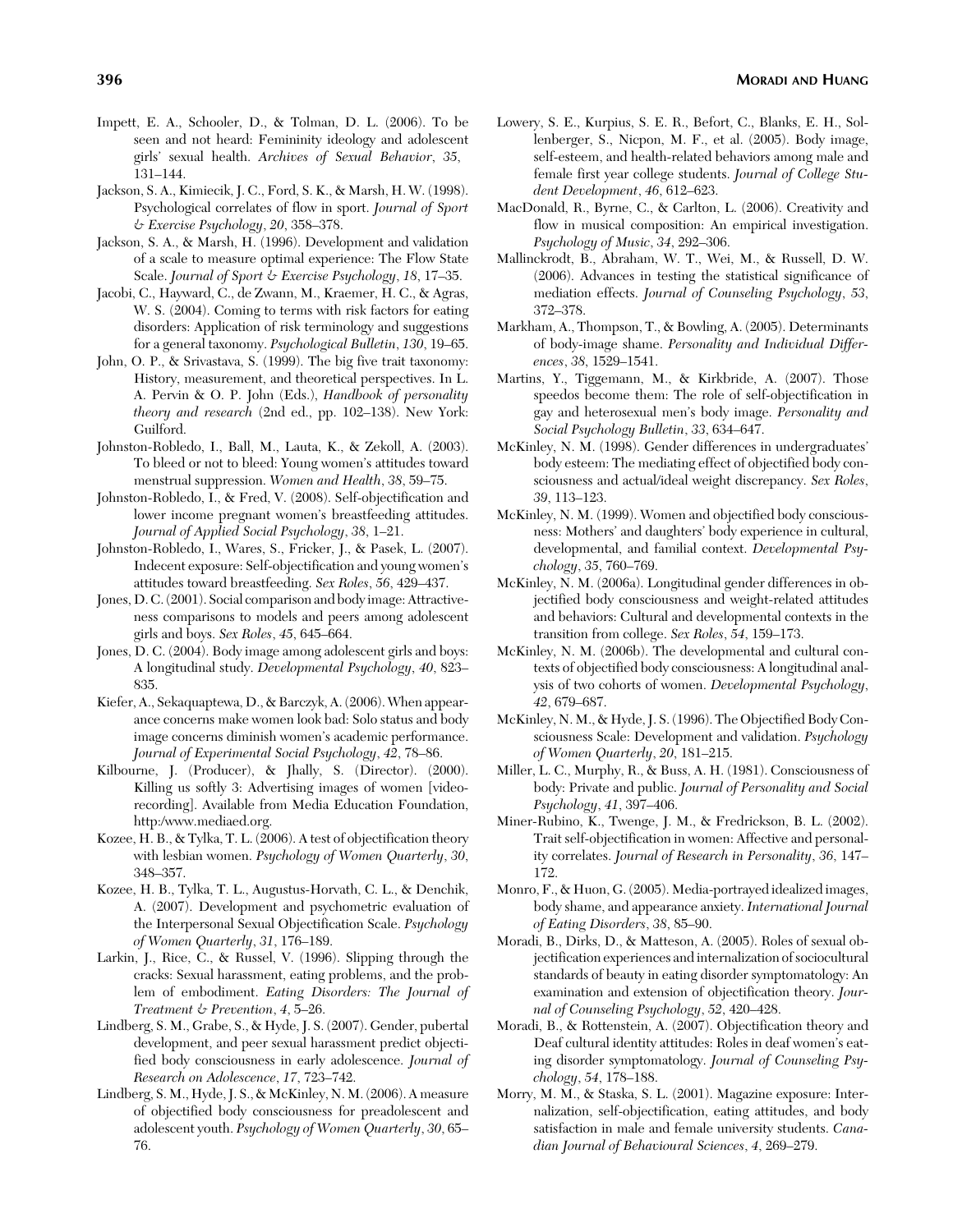- Impett, E. A., Schooler, D., & Tolman, D. L. (2006). To be seen and not heard: Femininity ideology and adolescent girls' sexual health. *Archives of Sexual Behavior*, *35*, 131–144.
- Jackson, S. A., Kimiecik, J. C., Ford, S. K., & Marsh, H. W. (1998). Psychological correlates of flow in sport. *Journal of Sport & Exercise Psychology*, *20*, 358–378.
- Jackson, S. A., & Marsh, H. (1996). Development and validation of a scale to measure optimal experience: The Flow State Scale. *Journal of Sport & Exercise Psychology*, *18*, 17–35.
- Jacobi, C., Hayward, C., de Zwann, M., Kraemer, H. C., & Agras, W. S. (2004). Coming to terms with risk factors for eating disorders: Application of risk terminology and suggestions for a general taxonomy. *Psychological Bulletin*, *130*, 19–65.
- John, O. P., & Srivastava, S. (1999). The big five trait taxonomy: History, measurement, and theoretical perspectives. In L. A. Pervin & O. P. John (Eds.), *Handbook of personality theory and research* (2nd ed., pp. 102–138). New York: Guilford.
- Johnston-Robledo, I., Ball, M., Lauta, K., & Zekoll, A. (2003). To bleed or not to bleed: Young women's attitudes toward menstrual suppression. *Women and Health*, *38*, 59–75.
- Johnston-Robledo, I., & Fred, V. (2008). Self-objectification and lower income pregnant women's breastfeeding attitudes. *Journal of Applied Social Psychology*, *38*, 1–21.
- Johnston-Robledo, I., Wares, S., Fricker, J., & Pasek, L. (2007). Indecent exposure: Self-objectification and young women's attitudes toward breastfeeding. *Sex Roles*, *56*, 429–437.
- Jones, D. C. (2001). Social comparison and body image: Attractiveness comparisons to models and peers among adolescent girls and boys. *Sex Roles*, *45*, 645–664.
- Jones, D. C. (2004). Body image among adolescent girls and boys: A longitudinal study. *Developmental Psychology*, *40*, 823– 835.
- Kiefer, A., Sekaquaptewa, D., & Barczyk, A. (2006). When appearance concerns make women look bad: Solo status and body image concerns diminish women's academic performance. *Journal of Experimental Social Psychology*, *42*, 78–86.
- Kilbourne, J. (Producer), & Jhally, S. (Director). (2000). Killing us softly 3: Advertising images of women [videorecording]. Available from Media Education Foundation, http:/www.mediaed.org.
- Kozee, H. B., & Tylka, T. L. (2006). A test of objectification theory with lesbian women. *Psychology of Women Quarterly*, *30*, 348–357.
- Kozee, H. B., Tylka, T. L., Augustus-Horvath, C. L., & Denchik, A. (2007). Development and psychometric evaluation of the Interpersonal Sexual Objectification Scale. *Psychology of Women Quarterly*, *31*, 176–189.
- Larkin, J., Rice, C., & Russel, V. (1996). Slipping through the cracks: Sexual harassment, eating problems, and the problem of embodiment. *Eating Disorders: The Journal of Treatment & Prevention*, *4*, 5–26.
- Lindberg, S. M., Grabe, S., & Hyde, J. S. (2007). Gender, pubertal development, and peer sexual harassment predict objectified body consciousness in early adolescence. *Journal of Research on Adolescence*, *17*, 723–742.
- Lindberg, S. M., Hyde, J. S., & McKinley, N. M. (2006). A measure of objectified body consciousness for preadolescent and adolescent youth. *Psychology of Women Quarterly*, *30*, 65– 76.
- Lowery, S. E., Kurpius, S. E. R., Befort, C., Blanks, E. H., Sollenberger, S., Nicpon, M. F., et al. (2005). Body image, self-esteem, and health-related behaviors among male and female first year college students. *Journal of College Student Development*, *46*, 612–623.
- MacDonald, R., Byrne, C., & Carlton, L. (2006). Creativity and flow in musical composition: An empirical investigation. *Psychology of Music*, *34*, 292–306.
- Mallinckrodt, B., Abraham, W. T., Wei, M., & Russell, D. W. (2006). Advances in testing the statistical significance of mediation effects. *Journal of Counseling Psychology*, *53*, 372–378.
- Markham, A., Thompson, T., & Bowling, A. (2005). Determinants of body-image shame. *Personality and Individual Differences*, *38*, 1529–1541.
- Martins, Y., Tiggemann, M., & Kirkbride, A. (2007). Those speedos become them: The role of self-objectification in gay and heterosexual men's body image. *Personality and Social Psychology Bulletin*, *33*, 634–647.
- McKinley, N. M. (1998). Gender differences in undergraduates' body esteem: The mediating effect of objectified body consciousness and actual/ideal weight discrepancy. *Sex Roles*, *39*, 113–123.
- McKinley, N. M. (1999). Women and objectified body consciousness: Mothers' and daughters' body experience in cultural, developmental, and familial context. *Developmental Psychology*, *35*, 760–769.
- McKinley, N. M. (2006a). Longitudinal gender differences in objectified body consciousness and weight-related attitudes and behaviors: Cultural and developmental contexts in the transition from college. *Sex Roles*, *54*, 159–173.
- McKinley, N. M. (2006b). The developmental and cultural contexts of objectified body consciousness: A longitudinal analysis of two cohorts of women. *Developmental Psychology*, *42*, 679–687.
- McKinley, N. M., & Hyde, J. S. (1996). The Objectified Body Consciousness Scale: Development and validation. *Psychology of Women Quarterly*, *20*, 181–215.
- Miller, L. C., Murphy, R., & Buss, A. H. (1981). Consciousness of body: Private and public. *Journal of Personality and Social Psychology*, *41*, 397–406.
- Miner-Rubino, K., Twenge, J. M., & Fredrickson, B. L. (2002). Trait self-objectification in women: Affective and personality correlates. *Journal of Research in Personality*, *36*, 147– 172.
- Monro, F., & Huon, G. (2005). Media-portrayed idealized images, body shame, and appearance anxiety. *International Journal of Eating Disorders*, *38*, 85–90.
- Moradi, B., Dirks, D., & Matteson, A. (2005). Roles of sexual objectification experiences and internalization of sociocultural standards of beauty in eating disorder symptomatology: An examination and extension of objectification theory. *Journal of Counseling Psychology*, *52*, 420–428.
- Moradi, B., & Rottenstein, A. (2007). Objectification theory and Deaf cultural identity attitudes: Roles in deaf women's eating disorder symptomatology. *Journal of Counseling Psychology*, *54*, 178–188.
- Morry, M. M., & Staska, S. L. (2001). Magazine exposure: Internalization, self-objectification, eating attitudes, and body satisfaction in male and female university students. *Canadian Journal of Behavioural Sciences*, *4*, 269–279.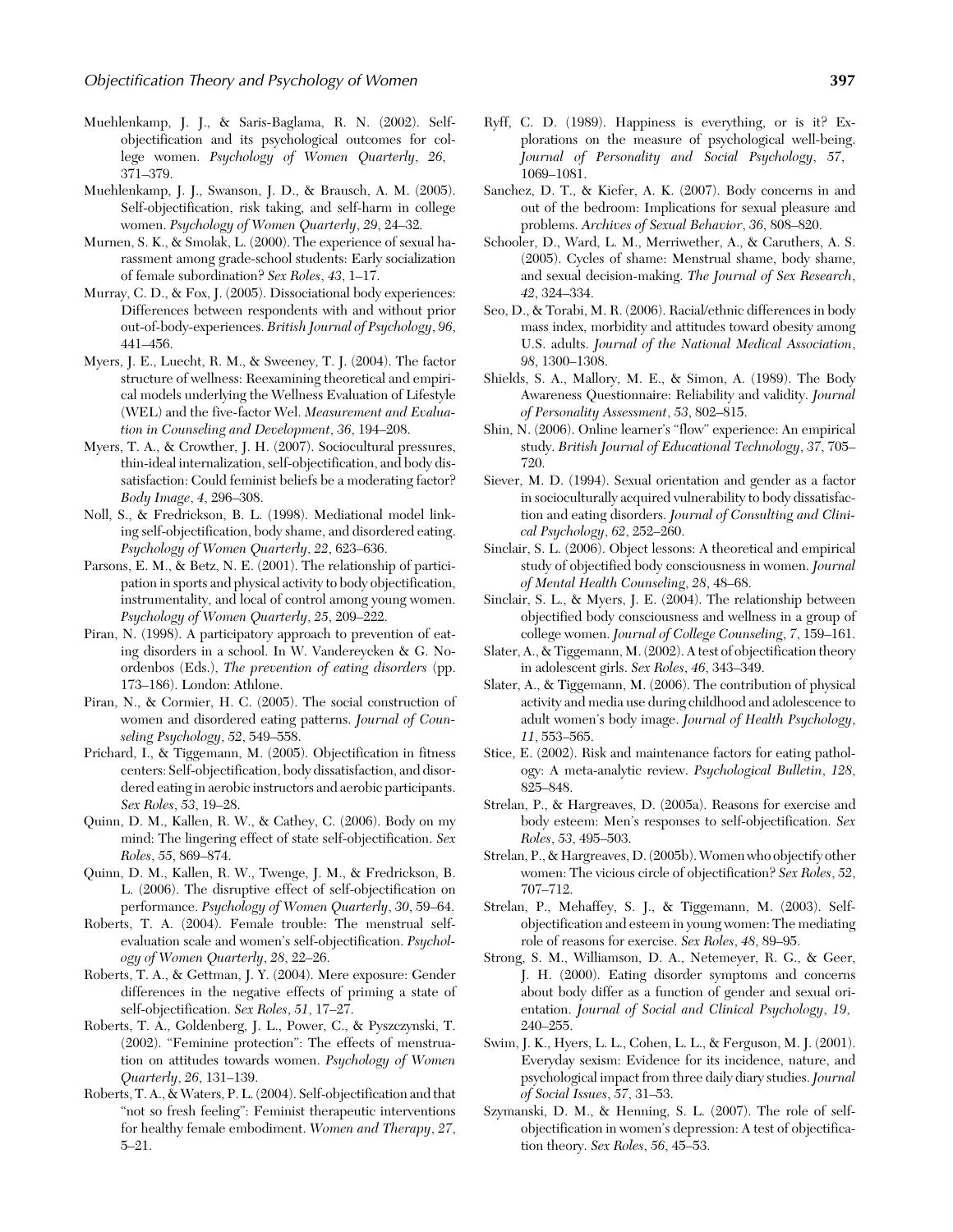- Muehlenkamp, J. J., & Saris-Baglama, R. N. (2002). Selfobjectification and its psychological outcomes for college women. *Psychology of Women Quarterly*, *26*, 371–379.
- Muehlenkamp, J. J., Swanson, J. D., & Brausch, A. M. (2005). Self-objectification, risk taking, and self-harm in college women. *Psychology of Women Quarterly*, *29*, 24–32.
- Murnen, S. K., & Smolak, L. (2000). The experience of sexual harassment among grade-school students: Early socialization of female subordination? *Sex Roles*, *43*, 1–17.
- Murray, C. D., & Fox, J. (2005). Dissociational body experiences: Differences between respondents with and without prior out-of-body-experiences. *British Journal of Psychology*, *96*, 441–456.
- Myers, J. E., Luecht, R. M., & Sweeney, T. J. (2004). The factor structure of wellness: Reexamining theoretical and empirical models underlying the Wellness Evaluation of Lifestyle (WEL) and the five-factor Wel. *Measurement and Evaluation in Counseling and Development*, *36*, 194–208.
- Myers, T. A., & Crowther, J. H. (2007). Sociocultural pressures, thin-ideal internalization, self-objectification, and body dissatisfaction: Could feminist beliefs be a moderating factor? *Body Image*, *4*, 296–308.
- Noll, S., & Fredrickson, B. L. (1998). Mediational model linking self-objectification, body shame, and disordered eating. *Psychology of Women Quarterly*, *22*, 623–636.
- Parsons, E. M., & Betz, N. E. (2001). The relationship of participation in sports and physical activity to body objectification, instrumentality, and local of control among young women. *Psychology of Women Quarterly*, *25*, 209–222.
- Piran, N. (1998). A participatory approach to prevention of eating disorders in a school. In W. Vandereycken & G. Noordenbos (Eds.), *The prevention of eating disorders* (pp. 173–186). London: Athlone.
- Piran, N., & Cormier, H. C. (2005). The social construction of women and disordered eating patterns. *Journal of Counseling Psychology*, *52*, 549–558.
- Prichard, I., & Tiggemann, M. (2005). Objectification in fitness centers: Self-objectification, body dissatisfaction, and disordered eating in aerobic instructors and aerobic participants. *Sex Roles*, *53*, 19–28.
- Quinn, D. M., Kallen, R. W., & Cathey, C. (2006). Body on my mind: The lingering effect of state self-objectification. *Sex Roles*, *55*, 869–874.
- Quinn, D. M., Kallen, R. W., Twenge, J. M., & Fredrickson, B. L. (2006). The disruptive effect of self-objectification on performance. *Psychology of Women Quarterly*, *30*, 59–64.
- Roberts, T. A. (2004). Female trouble: The menstrual selfevaluation scale and women's self-objectification. *Psychology of Women Quarterly*, *28*, 22–26.
- Roberts, T. A., & Gettman, J. Y. (2004). Mere exposure: Gender differences in the negative effects of priming a state of self-objectification. *Sex Roles*, *51*, 17–27.
- Roberts, T. A., Goldenberg, J. L., Power, C., & Pyszczynski, T. (2002). "Feminine protection": The effects of menstruation on attitudes towards women. *Psychology of Women Quarterly*, *26*, 131–139.
- Roberts, T. A., & Waters, P. L. (2004). Self-objectification and that "not so fresh feeling": Feminist therapeutic interventions for healthy female embodiment. *Women and Therapy*, *27*, 5–21.
- Ryff, C. D. (1989). Happiness is everything, or is it? Explorations on the measure of psychological well-being. *Journal of Personality and Social Psychology*, *57*, 1069–1081.
- Sanchez, D. T., & Kiefer, A. K. (2007). Body concerns in and out of the bedroom: Implications for sexual pleasure and problems. *Archives of Sexual Behavior*, *36*, 808–820.
- Schooler, D., Ward, L. M., Merriwether, A., & Caruthers, A. S. (2005). Cycles of shame: Menstrual shame, body shame, and sexual decision-making. *The Journal of Sex Research*, *42*, 324–334.
- Seo, D., & Torabi, M. R. (2006). Racial/ethnic differences in body mass index, morbidity and attitudes toward obesity among U.S. adults. *Journal of the National Medical Association*, *98*, 1300–1308.
- Shields, S. A., Mallory, M. E., & Simon, A. (1989). The Body Awareness Questionnaire: Reliability and validity. *Journal of Personality Assessment*, *53*, 802–815.
- Shin, N. (2006). Online learner's "flow" experience: An empirical study. *British Journal of Educational Technology*, *37*, 705– 720.
- Siever, M. D. (1994). Sexual orientation and gender as a factor in socioculturally acquired vulnerability to body dissatisfaction and eating disorders. *Journal of Consulting and Clinical Psychology*, *62*, 252–260.
- Sinclair, S. L. (2006). Object lessons: A theoretical and empirical study of objectified body consciousness in women. *Journal of Mental Health Counseling*, *28*, 48–68.
- Sinclair, S. L., & Myers, J. E. (2004). The relationship between objectified body consciousness and wellness in a group of college women. *Journal of College Counseling*, *7*, 159–161.
- Slater, A., & Tiggemann, M. (2002). A test of objectification theory in adolescent girls. *Sex Roles*, *46*, 343–349.
- Slater, A., & Tiggemann, M. (2006). The contribution of physical activity and media use during childhood and adolescence to adult women's body image. *Journal of Health Psychology*, *11*, 553–565.
- Stice, E. (2002). Risk and maintenance factors for eating pathology: A meta-analytic review. *Psychological Bulletin*, *128*, 825–848.
- Strelan, P., & Hargreaves, D. (2005a). Reasons for exercise and body esteem: Men's responses to self-objectification. *Sex Roles*, *53*, 495–503.
- Strelan, P., & Hargreaves, D. (2005b).Women who objectify other women: The vicious circle of objectification? *Sex Roles*, *52*, 707–712.
- Strelan, P., Mehaffey, S. J., & Tiggemann, M. (2003). Selfobjectification and esteem in young women: The mediating role of reasons for exercise. *Sex Roles*, *48*, 89–95.
- Strong, S. M., Williamson, D. A., Netemeyer, R. G., & Geer, J. H. (2000). Eating disorder symptoms and concerns about body differ as a function of gender and sexual orientation. *Journal of Social and Clinical Psychology*, *19*, 240–255.
- Swim, J. K., Hyers, L. L., Cohen, L. L., & Ferguson, M. J. (2001). Everyday sexism: Evidence for its incidence, nature, and psychological impact from three daily diary studies. *Journal of Social Issues*, *57*, 31–53.
- Szymanski, D. M., & Henning, S. L. (2007). The role of selfobjectification in women's depression: A test of objectification theory. *Sex Roles*, *56*, 45–53.